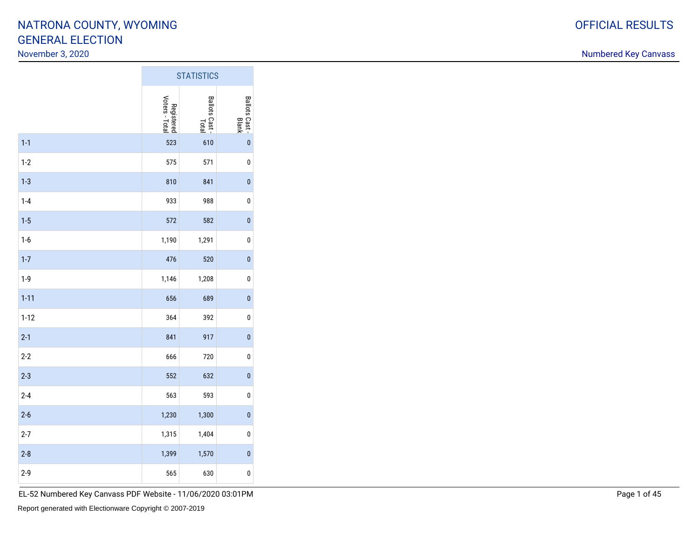#### November 3, 2020

Numbered Key Canvass

|          |                              | <b>STATISTICS</b>       |                         |
|----------|------------------------------|-------------------------|-------------------------|
|          | Registered<br>Voters - Total | Ballots Cast -<br>Total | Ballots Cast -<br>Blank |
| $1-1$    | 523                          | 610                     | $\mathbf{0}$            |
| $1-2$    | 575                          | 571                     | $\pmb{0}$               |
| $1-3$    | 810                          | 841                     | $\bf{0}$                |
| $1-4$    | 933                          | 988                     | $\pmb{0}$               |
| $1-5$    | 572                          | 582                     | $\bf{0}$                |
| $1-6$    | 1,190                        | 1,291                   | $\pmb{0}$               |
| $1 - 7$  | 476                          | 520                     | $\pmb{0}$               |
| $1-9$    | 1,146                        | 1,208                   | $\pmb{0}$               |
| $1 - 11$ | 656                          | 689                     | $\bf{0}$                |
| $1 - 12$ | 364                          | 392                     | 0                       |
| $2 - 1$  | 841                          | 917                     | $\pmb{0}$               |
| $2 - 2$  | 666                          | 720                     | $\pmb{0}$               |
| $2 - 3$  | 552                          | 632                     | $\bf{0}$                |
| $2 - 4$  | 563                          | 593                     | $\pmb{0}$               |
| $2 - 6$  | 1,230                        | 1,300                   | $\bf{0}$                |
| $2 - 7$  | 1,315                        | 1,404                   | $\pmb{0}$               |
| $2 - 8$  | 1,399                        | 1,570                   | $\bf{0}$                |
| $2 - 9$  | 565                          | 630                     | $\pmb{0}$               |

 $\sim$ 

 $\mathcal{L}_{\mathcal{A}}$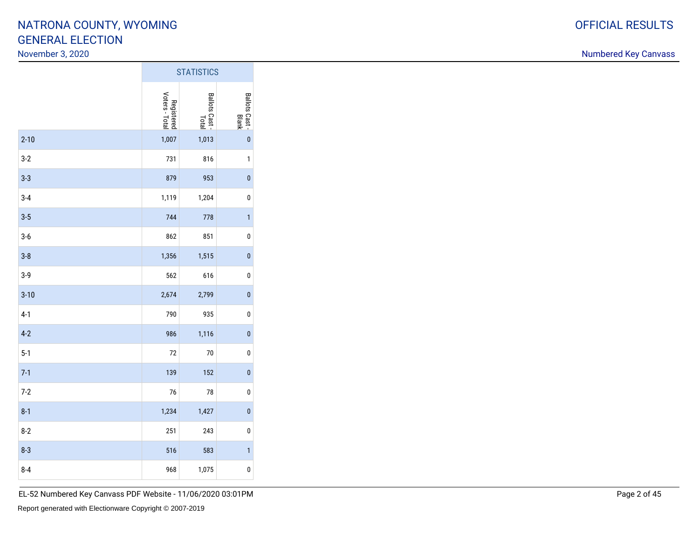### November 3, 2020

|          |                              | <b>STATISTICS</b>       |                        |
|----------|------------------------------|-------------------------|------------------------|
|          | Registered<br>Voters - Total | Ballots Cast -<br>Total | Ballots Cast-<br>Blank |
| $2 - 10$ | 1,007                        | 1,013                   | $\mathbf{0}$           |
| $3-2$    | 731                          | 816                     | 1                      |
| $3 - 3$  | 879                          | 953                     | $\bf{0}$               |
| $3-4$    | 1,119                        | 1,204                   | $\pmb{0}$              |
| $3-5$    | 744                          | 778                     | $\mathbf{1}$           |
| $3-6$    | 862                          | 851                     | $\pmb{0}$              |
| $3-8$    | 1,356                        | 1,515                   | $\bf{0}$               |
| $3-9$    | 562                          | 616                     | $\pmb{0}$              |
| $3 - 10$ | 2,674                        | 2,799                   | $\pmb{0}$              |
| $4-1$    | 790                          | 935                     | $\pmb{0}$              |
| $4-2$    | 986                          | 1,116                   | $\bf{0}$               |
| $5-1$    | 72                           | 70                      | $\pmb{0}$              |
| $7-1$    | 139                          | 152                     | $\mathbf{0}$           |
| $7 - 2$  | 76                           | 78                      | $\pmb{0}$              |
| $8 - 1$  | 1,234                        | 1,427                   | $\pmb{0}$              |
| $8-2$    | 251                          | 243                     | $\pmb{0}$              |
| $8 - 3$  | 516                          | 583                     | $\mathbf{1}$           |
| $8 - 4$  | 968                          | 1,075                   | 0                      |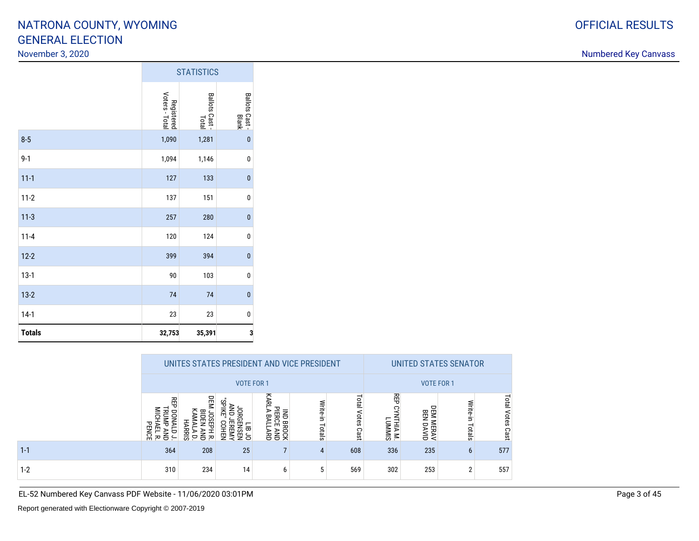### November 3, 2020

|               |                              | <b>STATISTICS</b>       |                              |
|---------------|------------------------------|-------------------------|------------------------------|
|               | Registered<br>Voters - Total | Ballots Cast -<br>Total | <b>Ballots Cast</b><br>Blank |
| $8-5$         | 1,090                        | 1,281                   | $\pmb{0}$                    |
| $9 - 1$       | 1,094                        | 1,146                   | $\pmb{0}$                    |
| $11 - 1$      | 127                          | 133                     | $\pmb{0}$                    |
| $11 - 2$      | 137                          | 151                     | $\pmb{0}$                    |
| $11-3$        | 257                          | 280                     | $\pmb{0}$                    |
| $11 - 4$      | 120                          | 124                     | $\pmb{0}$                    |
| $12 - 2$      | 399                          | 394                     | $\pmb{0}$                    |
| $13-1$        | 90                           | 103                     | $\pmb{0}$                    |
| $13-2$        | 74                           | 74                      | $\pmb{0}$                    |
| $14-1$        | 23                           | 23                      | 0                            |
| <b>Totals</b> | 32,753                       | 35,391                  | 3                            |

|         |                                                                                                     |                                       | UNITES STATES PRESIDENT AND VICE PRESIDENT | UNITED STATES SENATOR                                      |                    |                               |                                           |                                |                    |                        |
|---------|-----------------------------------------------------------------------------------------------------|---------------------------------------|--------------------------------------------|------------------------------------------------------------|--------------------|-------------------------------|-------------------------------------------|--------------------------------|--------------------|------------------------|
|         |                                                                                                     |                                       | <b>VOTE FOR 1</b>                          | <b>VOTE FOR 1</b>                                          |                    |                               |                                           |                                |                    |                        |
|         | 꼮<br>$\frac{8}{10}$<br>ξ<br>go<br>壭<br>⋝<br><b>PENCE</b><br>Ë<br>ъ<br>Ō<br>ξ<br>$\overline{a}$<br>ᅎ | DEM<br>胃<br>ਠ<br>RRIS<br>舌<br>Ρ.<br>ᅎ | မ္ပ<br>58<br>58<br>또<br>5 문<br>₹           | ⋜<br>ᆓ<br><b>PIERC</b><br>콩<br>ጄ<br>BROCK<br>CE AND<br>ARD | Write-in<br>Totals | Total<br><b>Votes</b><br>Cast | 吊<br>5<br><b>THIA</b><br>INAMIS<br>IMAMIS | DEM<br>BEN<br>MERAV<br>N DAVID | Write-in<br>Totals | Total<br>Votes<br>Cast |
| $1 - 1$ | 364                                                                                                 | 208                                   | 25                                         |                                                            | 4                  | 608                           | 336                                       | 235                            | 6                  | 577                    |
| $1 - 2$ | 310                                                                                                 | 234                                   | 14                                         | 6                                                          | 5                  | 569                           | 302                                       | 253                            | 2                  | 557                    |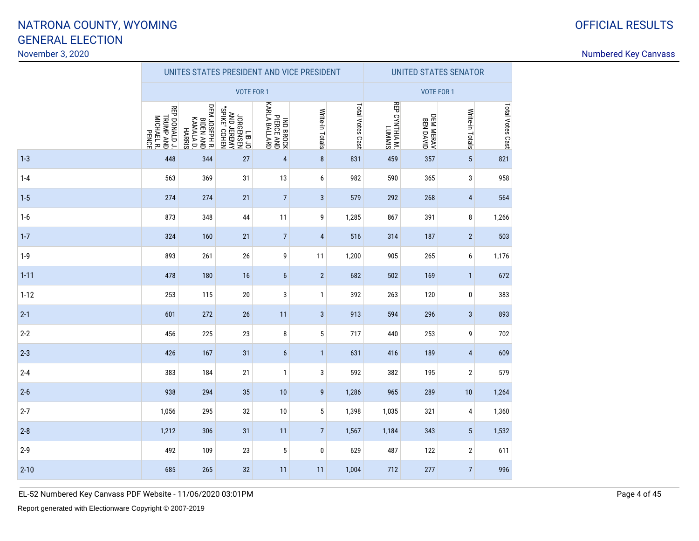November 3, 2020

|          |                                                   | UNITES STATES PRESIDENT AND VICE PRESIDENT  |                                                  | <b>UNITED STATES SENATOR</b>                    |                 |                  |                                 |                        |                 |                  |
|----------|---------------------------------------------------|---------------------------------------------|--------------------------------------------------|-------------------------------------------------|-----------------|------------------|---------------------------------|------------------------|-----------------|------------------|
|          |                                                   |                                             | <b>VOTE FOR 1</b>                                |                                                 |                 |                  |                                 | <b>VOTE FOR 1</b>      |                 |                  |
|          | REP DONALD J.<br>TRUMP AND<br>MICHAEL R.<br>PENCE | DEM JOSEPH R.<br>KAMALA D.<br><b>HARRIS</b> | "SPIKE" COHEN<br>ORGENSEN<br>MERISEN<br>ORGENSEN | KARLA BALLARD<br><b>IND BROCK</b><br>PIERCE AND | Write-in Totals | Total Votes Cast | <b>REP CYNTHIA M.</b><br>LUMMIS | DEM MERAV<br>BEN DAVID | Write-in Totals | Total Votes Cast |
| $1 - 3$  | 448                                               | 344                                         | 27                                               | 4                                               | $\bf 8$         | 831              | 459                             | 357                    | $\sqrt{5}$      | 821              |
| $1 - 4$  | 563                                               | 369                                         | 31                                               | 13                                              | 6               | 982              | 590                             | 365                    | $\mathsf 3$     | 958              |
| $1-5$    | 274                                               | 274                                         | 21                                               | $\sqrt{ }$                                      | $\mathbf{3}$    | 579              | 292                             | 268                    | $\overline{4}$  | 564              |
| $1-6$    | 873                                               | 348                                         | 44                                               | 11                                              | 9               | 1,285            | 867                             | 391                    | 8               | 1,266            |
| $1 - 7$  | 324                                               | 160                                         | 21                                               | $\sqrt{ }$                                      | $\overline{4}$  | 516              | 314                             | 187                    | $\overline{2}$  | 503              |
| $1 - 9$  | 893                                               | 261                                         | 26                                               | 9                                               | 11              | 1,200            | 905                             | 265                    | 6               | 1,176            |
| $1 - 11$ | 478                                               | 180                                         | 16                                               | $\boldsymbol{6}$                                | $\overline{2}$  | 682              | 502                             | 169                    | $\mathbf{1}$    | 672              |
| $1 - 12$ | 253                                               | 115                                         | $20\,$                                           | 3                                               | $\mathbf{1}$    | 392              | 263                             | 120                    | $\pmb{0}$       | 383              |
| $2 - 1$  | 601                                               | 272                                         | 26                                               | 11                                              | $\mathbf{3}$    | 913              | 594                             | 296                    | $\sqrt{3}$      | 893              |
| $2 - 2$  | 456                                               | 225                                         | 23                                               | 8                                               | $\mathbf 5$     | 717              | 440                             | 253                    | 9               | 702              |
| $2 - 3$  | 426                                               | 167                                         | 31                                               | $\boldsymbol{6}$                                | $\mathbf{1}$    | 631              | 416                             | 189                    | $\overline{4}$  | 609              |
| $2 - 4$  | 383                                               | 184                                         | 21                                               | $\mathbf{1}$                                    | 3               | 592              | 382                             | 195                    | $\sqrt{2}$      | 579              |
| $2 - 6$  | 938                                               | 294                                         | 35                                               | 10                                              | 9               | 1,286            | 965                             | 289                    | $10$            | 1,264            |
| $2 - 7$  | 1,056                                             | 295                                         | 32                                               | 10                                              | 5               | 1,398            | 1,035                           | 321                    | 4               | 1,360            |
| $2 - 8$  | 1,212                                             | 306                                         | 31                                               | 11                                              | $\overline{7}$  | 1,567            | 1,184                           | 343                    | $\sqrt{5}$      | 1,532            |
| $2 - 9$  | 492                                               | 109                                         | 23                                               | $\sqrt{5}$                                      | $\pmb{0}$       | 629              | 487                             | 122                    | $\sqrt{2}$      | 611              |
| $2 - 10$ | 685                                               | 265                                         | 32                                               | 11                                              | 11              | 1,004            | 712                             | 277                    | $\overline{7}$  | 996              |

EL-52 Numbered Key Canvass PDF Website - 11/06/2020 03:01PM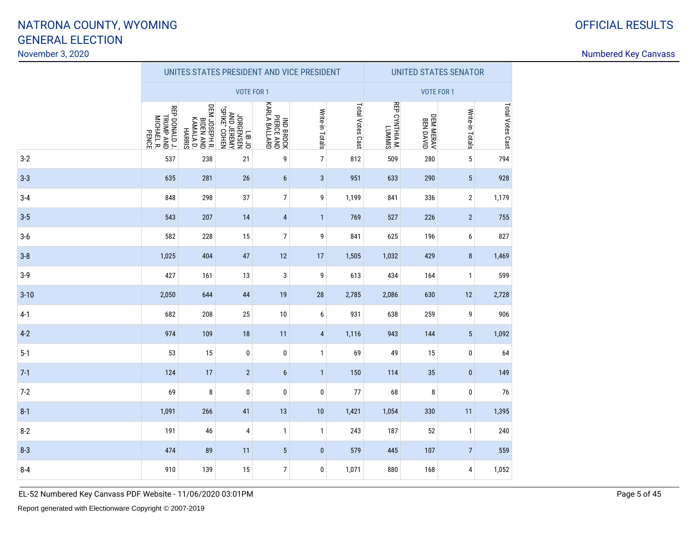November 3, 2020

|          |                                                          |                                                                 | UNITES STATES PRESIDENT AND VICE PRESIDENT          | <b>UNITED STATES SENATOR</b>            |                 |                  |                                 |                        |                 |                  |
|----------|----------------------------------------------------------|-----------------------------------------------------------------|-----------------------------------------------------|-----------------------------------------|-----------------|------------------|---------------------------------|------------------------|-----------------|------------------|
|          |                                                          |                                                                 | <b>VOTE FOR 1</b>                                   | <b>VOTE FOR 1</b>                       |                 |                  |                                 |                        |                 |                  |
|          | REP DONALD J.<br>MICHAEL R.<br>PENCE<br><b>TRUMP AND</b> | DEM JOSEPH R.<br>KAMALA D.<br><b>BIDEN AND</b><br><b>HARRIS</b> | N3HOO "3XIdS."<br>KM383F QNV<br>N3SN398OC<br>OC 8I1 | NO BROCK<br>PIERCE AND<br>KARLA BALLARD | Write-in Totals | Total Votes Cast | <b>REP CYNTHIA M.</b><br>LUMMIS | DEM MERAV<br>BEN DAVID | Write-in Totals | Total Votes Cast |
| $3-2$    | 537                                                      | 238                                                             | 21                                                  | 9                                       | $\overline{7}$  | 812              | 509                             | 280                    | $\overline{5}$  | 794              |
| $3 - 3$  | 635                                                      | 281                                                             | 26                                                  | $\boldsymbol{6}$                        | $\sqrt{3}$      | 951              | 633                             | 290                    | $\overline{5}$  | 928              |
| $3 - 4$  | 848                                                      | 298                                                             | 37                                                  | $\boldsymbol{7}$                        | 9               | 1,199            | 841                             | 336                    | $\mathbf 2$     | 1,179            |
| $3-5$    | 543                                                      | 207                                                             | 14                                                  | 4                                       | $\mathbf{1}$    | 769              | 527                             | 226                    | $\overline{c}$  | 755              |
| $3-6$    | 582                                                      | 228                                                             | 15                                                  | $\boldsymbol{7}$                        | 9               | 841              | 625                             | 196                    | 6               | 827              |
| $3-8$    | 1,025                                                    | 404                                                             | 47                                                  | 12                                      | 17              | 1,505            | 1,032                           | 429                    | $\bf 8$         | 1,469            |
| $3-9$    | 427                                                      | 161                                                             | 13                                                  | 3                                       | 9               | 613              | 434                             | 164                    | $\mathbf{1}$    | 599              |
| $3 - 10$ | 2,050                                                    | 644                                                             | 44                                                  | 19                                      | 28              | 2,785            | 2,086                           | 630                    | 12              | 2,728            |
| $4-1$    | 682                                                      | 208                                                             | 25                                                  | 10                                      | 6               | 931              | 638                             | 259                    | 9               | 906              |
| $4-2$    | 974                                                      | 109                                                             | 18                                                  | 11                                      | $\overline{4}$  | 1,116            | 943                             | 144                    | $\overline{5}$  | 1,092            |
| $5-1$    | 53                                                       | 15                                                              | $\pmb{0}$                                           | $\pmb{0}$                               | $\mathbf{1}$    | 69               | 49                              | 15                     | $\pmb{0}$       | 64               |
| $7-1$    | 124                                                      | 17                                                              | $\overline{2}$                                      | 6                                       | $\mathbf{1}$    | 150              | 114                             | 35                     | $\pmb{0}$       | 149              |
| $7-2$    | 69                                                       | 8                                                               | $\pmb{0}$                                           | 0                                       | $\pmb{0}$       | 77               | 68                              | 8                      | $\pmb{0}$       | 76               |
| $8 - 1$  | 1,091                                                    | 266                                                             | 41                                                  | 13                                      | 10              | 1,421            | 1,054                           | 330                    | 11              | 1,395            |
| $8 - 2$  | 191                                                      | 46                                                              | 4                                                   | $\mathbf{1}$                            | $\mathbf{1}$    | 243              | 187                             | 52                     | $\mathbf{1}$    | 240              |
| $8 - 3$  | 474                                                      | 89                                                              | 11                                                  | 5                                       | $\pmb{0}$       | 579              | 445                             | 107                    | $\overline{7}$  | 559              |
| $8 - 4$  | 910                                                      | 139                                                             | 15                                                  | $\overline{7}$                          | $\mathbf 0$     | 1,071            | 880                             | 168                    | 4               | 1,052            |

EL-52 Numbered Key Canvass PDF Website - 11/06/2020 03:01PM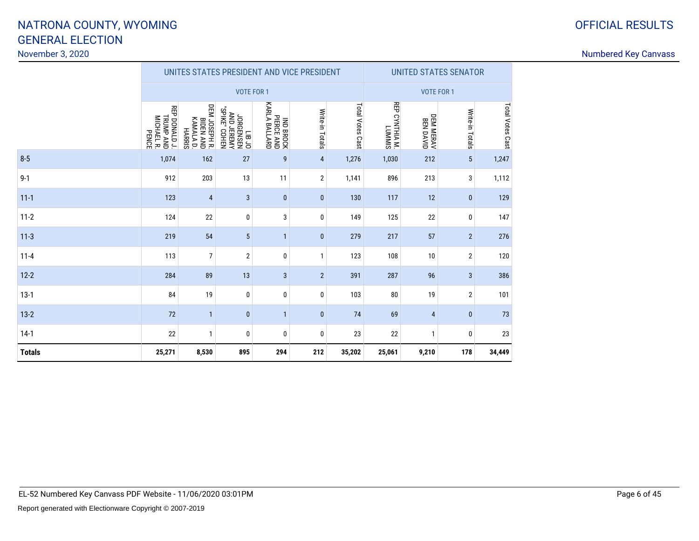November 3, 2020

| ⌒<br>u | <b>OFFICIAL RESULTS</b> |
|--------|-------------------------|
|        |                         |

|               |                                                                 |                                                                        | UNITES STATES PRESIDENT AND VICE PRESIDENT |                                          |                   |                  | <b>UNITED STATES SENATOR</b> |                               |                 |                  |  |
|---------------|-----------------------------------------------------------------|------------------------------------------------------------------------|--------------------------------------------|------------------------------------------|-------------------|------------------|------------------------------|-------------------------------|-----------------|------------------|--|
|               |                                                                 |                                                                        | <b>VOTE FOR 1</b>                          |                                          | <b>VOTE FOR 1</b> |                  |                              |                               |                 |                  |  |
|               | <b>REP DONALD J.</b><br>MICHAEL R.<br>TRUMP AND<br><b>PENCE</b> | DEM JOSEPH R.<br><b>KAMALA D.</b><br><b>BIDEN AND</b><br><b>HARRIS</b> | "SPIKE" COHEN<br>AND JEREMY<br>N3SN3980C   | IND BROCK<br>PIERCE AND<br>KARLA BALLARD | Write-in Totals   | Total Votes Cast | REP CYNTHIA M.               | <b>DEM MERAV</b><br>PEN DAVID | Write-in Totals | Total Votes Cast |  |
| $8 - 5$       | 1,074                                                           | 162                                                                    | 27                                         | 9                                        | 4                 | 1,276            | 1,030                        | 212                           | $\sqrt{5}$      | 1,247            |  |
| $9 - 1$       | 912                                                             | 203                                                                    | 13                                         | 11                                       | $\mathbf 2$       | 1,141            | 896                          | 213                           | 3               | 1,112            |  |
| $11 - 1$      | 123                                                             | $\overline{4}$                                                         | 3                                          | $\pmb{0}$                                | $\mathbf 0$       | 130              | 117                          | 12                            | $\pmb{0}$       | 129              |  |
| $11 - 2$      | 124                                                             | 22                                                                     | 0                                          | 3                                        | 0                 | 149              | 125                          | 22                            | 0               | 147              |  |
| $11-3$        | 219                                                             | 54                                                                     | $\sqrt{5}$                                 | 1                                        | $\bf{0}$          | 279              | 217                          | 57                            | $\overline{2}$  | 276              |  |
| $11 - 4$      | 113                                                             | $\overline{7}$                                                         | $\sqrt{2}$                                 | $\pmb{0}$                                | 1                 | 123              | 108                          | 10                            | $\mathbf{2}$    | 120              |  |
| $12 - 2$      | 284                                                             | 89                                                                     | 13                                         | $\sqrt{3}$                               | $\overline{2}$    | 391              | 287                          | 96                            | $\mathbf{3}$    | 386              |  |
| $13-1$        | 84                                                              | 19                                                                     | $\pmb{0}$                                  | 0                                        | 0                 | 103              | 80                           | 19                            | $\mathbf{2}$    | 101              |  |
| $13-2$        | 72                                                              | $\mathbf{1}$                                                           | $\pmb{0}$                                  | $\mathbf{1}$                             | $\mathbf 0$       | 74               | 69                           | $\overline{4}$                | $\pmb{0}$       | 73               |  |
| $14-1$        | 22                                                              | 1                                                                      | 0                                          | 0                                        | 0                 | 23               | 22                           | 1                             | 0               | 23               |  |
| <b>Totals</b> | 25,271                                                          | 8,530                                                                  | 895                                        | 294                                      | 212               | 35,202           | 25,061                       | 9,210                         | 178             | 34,449           |  |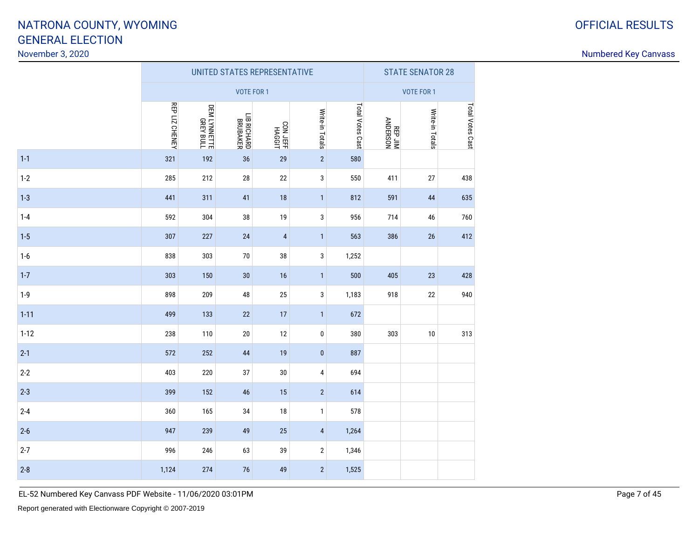November 3, 2020

|          |                | UNITED STATES REPRESENTATIVE | <b>STATE SENATOR 28</b> |                    |                 |                  |                              |                 |                  |
|----------|----------------|------------------------------|-------------------------|--------------------|-----------------|------------------|------------------------------|-----------------|------------------|
|          |                |                              |                         | <b>VOTE FOR 1</b>  |                 |                  |                              |                 |                  |
|          | REP LIZ CHENEY | DEM LYNNETTE<br>GREY BULL    | LIB RICHARD<br>BRUBAKER | CON JEFF<br>HAGGIT | Write-in Totals | Total Votes Cast | <b>ANDERSON<br/>ANDERSON</b> | Write-in Totals | Total Votes Cast |
| $1 - 1$  | 321            | 192                          | 36                      | 29                 | $\overline{2}$  | 580              |                              |                 |                  |
| $1-2$    | 285            | 212                          | 28                      | 22                 | 3               | 550              | 411                          | 27              | 438              |
| $1 - 3$  | 441            | 311                          | 41                      | 18                 | $\mathbf{1}$    | 812              | 591                          | 44              | 635              |
| $1 - 4$  | 592            | 304                          | 38                      | 19                 | 3               | 956              | 714                          | 46              | 760              |
| $1 - 5$  | 307            | 227                          | 24                      | $\sqrt{4}$         | $\mathbf{1}$    | 563              | 386                          | 26              | 412              |
| $1-6$    | 838            | 303                          | $70$                    | 38                 | 3               | 1,252            |                              |                 |                  |
| $1 - 7$  | 303            | 150                          | 30                      | 16                 | $\mathbf{1}$    | 500              | 405                          | 23              | 428              |
| $1-9$    | 898            | 209                          | 48                      | 25                 | 3               | 1,183            | 918                          | 22              | 940              |
| $1 - 11$ | 499            | 133                          | 22                      | 17                 | $\mathbf{1}$    | 672              |                              |                 |                  |
| $1 - 12$ | 238            | 110                          | 20                      | 12                 | $\pmb{0}$       | 380              | 303                          | 10              | 313              |
| $2 - 1$  | 572            | 252                          | 44                      | 19                 | $\mathbf 0$     | 887              |                              |                 |                  |
| $2 - 2$  | 403            | 220                          | 37                      | 30                 | 4               | 694              |                              |                 |                  |
| $2 - 3$  | 399            | 152                          | 46                      | 15                 | $\overline{2}$  | 614              |                              |                 |                  |
| $2 - 4$  | 360            | 165                          | 34                      | 18                 | $\mathbf{1}$    | 578              |                              |                 |                  |
| $2-6$    | 947            | 239                          | 49                      | 25                 | $\overline{4}$  | 1,264            |                              |                 |                  |
| $2 - 7$  | 996            | 246                          | 63                      | 39                 | $\overline{2}$  | 1,346            |                              |                 |                  |
| $2 - 8$  | 1,124          | 274                          | 76                      | 49                 | $\overline{2}$  | 1,525            |                              |                 |                  |

EL-52 Numbered Key Canvass PDF Website - 11/06/2020 03:01PM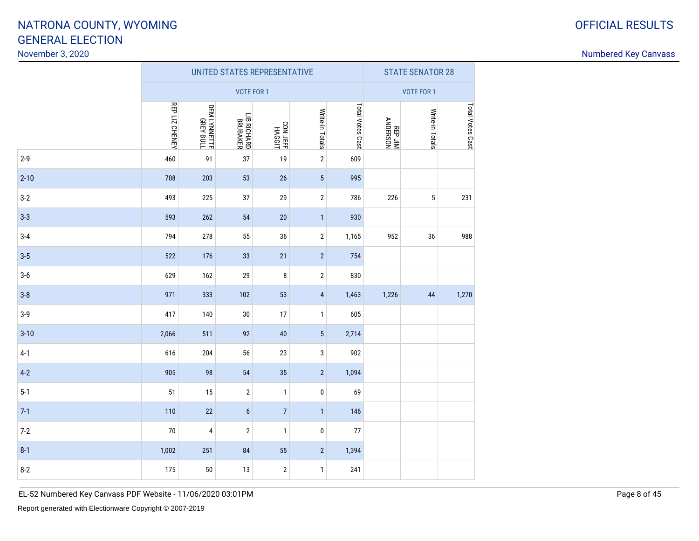November 3, 2020

Numbered Key Canvass

|          |               | UNITED STATES REPRESENTATIVE | <b>STATE SENATOR 28</b> |                    |                 |                  |                             |                 |                  |
|----------|---------------|------------------------------|-------------------------|--------------------|-----------------|------------------|-----------------------------|-----------------|------------------|
|          |               |                              |                         | VOTE FOR 1         |                 |                  |                             |                 |                  |
|          | REPLIZ CHENEY | DEM LYNNETTE<br>GREY BULL    | LIB RICHARD<br>BRUBAKER | CON JEFF<br>HAGGIT | Write-in Totals | Total Votes Cast | <b>ANDERSON</b><br>ANDERSON | Write-in Totals | Total Votes Cast |
| $2 - 9$  | 460           | 91                           | 37                      | 19                 | $\overline{2}$  | 609              |                             |                 |                  |
| $2 - 10$ | 708           | 203                          | 53                      | 26                 | $\sqrt{5}$      | 995              |                             |                 |                  |
| $3-2$    | 493           | 225                          | 37                      | 29                 | $\mathbf{2}$    | 786              | 226                         | $\sqrt{5}$      | 231              |
| $3 - 3$  | 593           | 262                          | 54                      | $20\,$             | $\mathbf{1}$    | 930              |                             |                 |                  |
| $3 - 4$  | 794           | 278                          | 55                      | 36                 | $\overline{2}$  | 1,165            | 952                         | 36              | 988              |
| $3 - 5$  | 522           | 176                          | 33                      | 21                 | $\sqrt{2}$      | 754              |                             |                 |                  |
| $3-6$    | 629           | 162                          | 29                      | 8                  | $\mathbf{2}$    | 830              |                             |                 |                  |
| $3 - 8$  | 971           | 333                          | 102                     | 53                 | $\overline{4}$  | 1,463            | 1,226                       | 44              | 1,270            |
| $3-9$    | 417           | 140                          | $30\,$                  | 17                 | $\mathbf{1}$    | 605              |                             |                 |                  |
| $3 - 10$ | 2,066         | 511                          | 92                      | 40                 | $\sqrt{5}$      | 2,714            |                             |                 |                  |
| $4-1$    | 616           | 204                          | 56                      | 23                 | 3               | 902              |                             |                 |                  |
| $4 - 2$  | 905           | 98                           | 54                      | 35                 | $\overline{2}$  | 1,094            |                             |                 |                  |
| $5-1$    | 51            | 15                           | $\sqrt{2}$              | $\mathbf{1}$       | 0               | 69               |                             |                 |                  |
| $7-1$    | 110           | 22                           | $\boldsymbol{6}$        | $\overline{7}$     | $\mathbf{1}$    | 146              |                             |                 |                  |
| $7 - 2$  | 70            | 4                            | $\overline{2}$          | $\mathbf{1}$       | 0               | 77               |                             |                 |                  |
| $8 - 1$  | 1,002         | 251                          | 84                      | 55                 | $\overline{2}$  | 1,394            |                             |                 |                  |
| $8-2$    | 175           | $50\,$                       | 13                      | $\sqrt{2}$         | $\mathbf{1}$    | 241              |                             |                 |                  |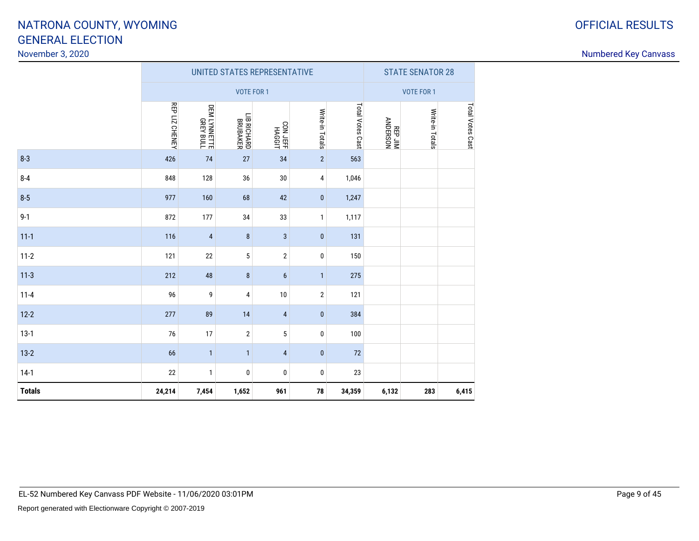November 3, 2020

|               |        | UNITED STATES REPRESENTATIVE<br><b>STATE SENATOR 28</b><br><b>VOTE FOR 1</b><br><b>VOTE FOR 1</b><br>REPLIZ CHENEY<br>Total Votes Cast<br>DEM LYNNETTE<br>GREY BULL<br>Write-in Totals<br>Write-in Totals<br>LIB RICHARD<br>BRUBAKER<br><b>REP JIM<br/>ANDERSON</b><br>CON JEFF<br>HAGGIT<br>426<br>74<br>27<br>34<br>$\overline{2}$<br>563<br>848<br>128<br>36<br>30<br>1,046<br>4 |                |                         |                |        |       |     |                  |  |
|---------------|--------|-------------------------------------------------------------------------------------------------------------------------------------------------------------------------------------------------------------------------------------------------------------------------------------------------------------------------------------------------------------------------------------|----------------|-------------------------|----------------|--------|-------|-----|------------------|--|
|               |        |                                                                                                                                                                                                                                                                                                                                                                                     |                |                         |                |        |       |     | Total Votes Cast |  |
| $8 - 3$       |        |                                                                                                                                                                                                                                                                                                                                                                                     |                |                         |                |        |       |     |                  |  |
| $8 - 4$       |        |                                                                                                                                                                                                                                                                                                                                                                                     |                |                         |                |        |       |     |                  |  |
| $8 - 5$       | 977    | 160                                                                                                                                                                                                                                                                                                                                                                                 | 68             | 42                      | $\mathbf{0}$   | 1,247  |       |     |                  |  |
| $9-1$         | 872    | 177                                                                                                                                                                                                                                                                                                                                                                                 | 34             | 33                      | $\mathbf{1}$   | 1,117  |       |     |                  |  |
| $11 - 1$      | 116    | $\overline{4}$                                                                                                                                                                                                                                                                                                                                                                      | $\bf 8$        | 3                       | $\pmb{0}$      | 131    |       |     |                  |  |
| $11-2$        | 121    | 22                                                                                                                                                                                                                                                                                                                                                                                  | 5              | $\mathbf 2$             | $\bf{0}$       | 150    |       |     |                  |  |
| $11-3$        | 212    | 48                                                                                                                                                                                                                                                                                                                                                                                  | 8              | 6                       | $\mathbf{1}$   | 275    |       |     |                  |  |
| $11-4$        | 96     | 9                                                                                                                                                                                                                                                                                                                                                                                   | 4              | 10                      | $\overline{2}$ | 121    |       |     |                  |  |
| $12 - 2$      | 277    | 89                                                                                                                                                                                                                                                                                                                                                                                  | 14             | $\overline{\mathbf{4}}$ | $\bf{0}$       | 384    |       |     |                  |  |
| $13-1$        | 76     | 17                                                                                                                                                                                                                                                                                                                                                                                  | $\overline{2}$ | 5                       | 0              | 100    |       |     |                  |  |
| $13-2$        | 66     | $\mathbf{1}$                                                                                                                                                                                                                                                                                                                                                                        | $\mathbf{1}$   | $\overline{4}$          | $\mathbf 0$    | 72     |       |     |                  |  |
| $14-1$        | 22     | 1                                                                                                                                                                                                                                                                                                                                                                                   | 0              | 0                       | 0              | 23     |       |     |                  |  |
| <b>Totals</b> | 24,214 | 7,454                                                                                                                                                                                                                                                                                                                                                                               | 1,652          | 961                     | 78             | 34,359 | 6,132 | 283 | 6,415            |  |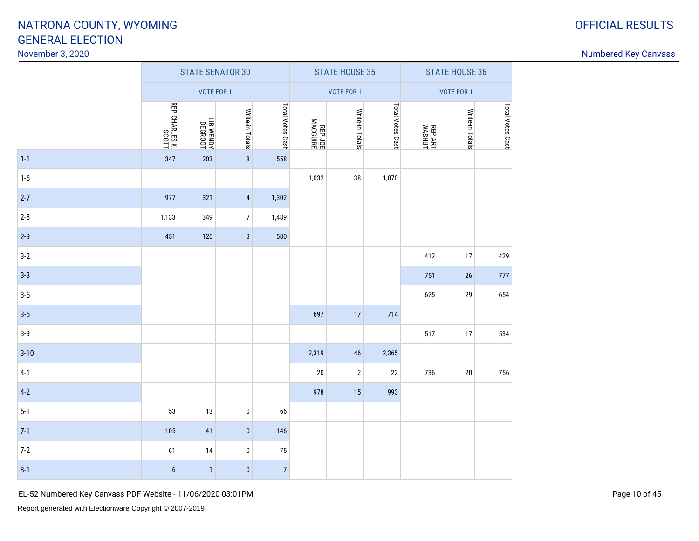November 3, 2020

|          |                  | <b>STATE SENATOR 30</b> |                 |                  |                     | <b>STATE HOUSE 35</b> |                  | <b>STATE HOUSE 36</b>    |                 |                  |  |
|----------|------------------|-------------------------|-----------------|------------------|---------------------|-----------------------|------------------|--------------------------|-----------------|------------------|--|
|          |                  | <b>VOTE FOR 1</b>       |                 |                  |                     | <b>VOTE FOR 1</b>     |                  | VOTE FOR 1               |                 |                  |  |
|          | REP CHARLES K.   | LIB WENDY<br>PEGROOT    | Write-in Totals | Total Votes Cast | BRINGOAM<br>HOL PER | Write-in Totals       | Total Votes Cast | <b>REP ART</b><br>WASHUT | Write-in Totals | Total Votes Cast |  |
| $1 - 1$  | 347              | 203                     | $\bf 8$         | 558              |                     |                       |                  |                          |                 |                  |  |
| $1-6$    |                  |                         |                 |                  | 1,032               | 38                    | 1,070            |                          |                 |                  |  |
| $2 - 7$  | 977              | 321                     | $\overline{4}$  | 1,302            |                     |                       |                  |                          |                 |                  |  |
| $2 - 8$  | 1,133            | 349                     | $\overline{7}$  | 1,489            |                     |                       |                  |                          |                 |                  |  |
| $2-9$    | 451              | 126                     | $\sqrt{3}$      | 580              |                     |                       |                  |                          |                 |                  |  |
| $3-2$    |                  |                         |                 |                  |                     |                       |                  | 412                      | 17              | 429              |  |
| $3 - 3$  |                  |                         |                 |                  |                     |                       |                  | 751                      | 26              | 777              |  |
| $3-5$    |                  |                         |                 |                  |                     |                       |                  | 625                      | 29              | 654              |  |
| $3-6$    |                  |                         |                 |                  | 697                 | 17                    | 714              |                          |                 |                  |  |
| $3-9$    |                  |                         |                 |                  |                     |                       |                  | 517                      | 17              | 534              |  |
| $3 - 10$ |                  |                         |                 |                  | 2,319               | 46                    | 2,365            |                          |                 |                  |  |
| $4-1$    |                  |                         |                 |                  | $20\,$              | $\sqrt{2}$            | 22               | 736                      | $20\,$          | 756              |  |
| $4-2$    |                  |                         |                 |                  | 978                 | 15                    | 993              |                          |                 |                  |  |
| $5 - 1$  | 53               | 13                      | $\pmb{0}$       | 66               |                     |                       |                  |                          |                 |                  |  |
| $7-1$    | 105              | 41                      | $\pmb{0}$       | 146              |                     |                       |                  |                          |                 |                  |  |
| $7-2$    | 61               | 14                      | $\pmb{0}$       | 75               |                     |                       |                  |                          |                 |                  |  |
| $8 - 1$  | $\boldsymbol{6}$ | $\mathbf{1}$            | $\pmb{0}$       | $\sqrt{ }$       |                     |                       |                  |                          |                 |                  |  |

EL-52 Numbered Key Canvass PDF Website - 11/06/2020 03:01PM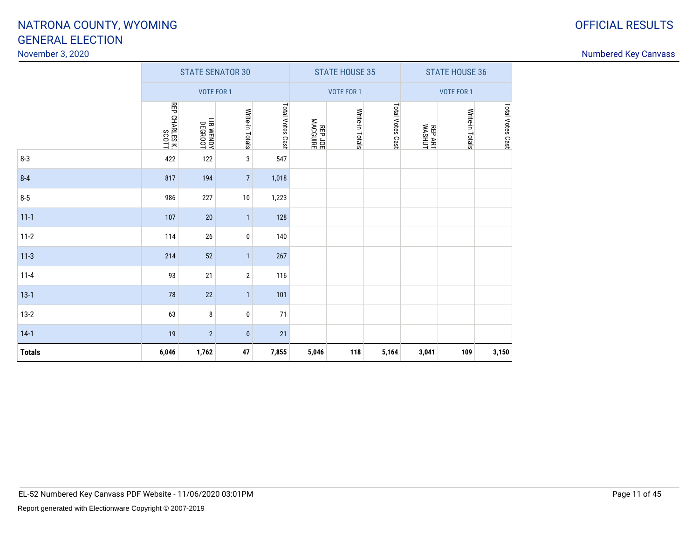#### November 3, 2020

|               |                | <b>STATE SENATOR 30</b> |                  |                  |                | <b>STATE HOUSE 35</b> |                  |                          | <b>STATE HOUSE 36</b> |                  |  |  |
|---------------|----------------|-------------------------|------------------|------------------|----------------|-----------------------|------------------|--------------------------|-----------------------|------------------|--|--|
|               |                | VOTE FOR 1              |                  |                  | VOTE FOR 1     |                       |                  | <b>VOTE FOR 1</b>        |                       |                  |  |  |
|               | REP CHARLES K. | LIB WENDY<br>PEGROOT    | Write-in Totals  | Total Votes Cast | <b>BRIGOAM</b> | Write-in Totals       | Total Votes Cast | <b>REP ART</b><br>WASHUT | Write-in Totals       | Total Votes Cast |  |  |
| $8 - 3$       | 422            | 122                     | 3                | 547              |                |                       |                  |                          |                       |                  |  |  |
| $8 - 4$       | 817            | 194                     | $\overline{7}$   | 1,018            |                |                       |                  |                          |                       |                  |  |  |
| $8-5$         | 986            | 227                     | 10               | 1,223            |                |                       |                  |                          |                       |                  |  |  |
| $11-1$        | 107            | 20                      | $\mathbf{1}$     | 128              |                |                       |                  |                          |                       |                  |  |  |
| $11-2$        | 114            | 26                      | 0                | 140              |                |                       |                  |                          |                       |                  |  |  |
| $11-3$        | 214            | 52                      | $\mathbf{1}$     | 267              |                |                       |                  |                          |                       |                  |  |  |
| $11 - 4$      | 93             | 21                      | $\boldsymbol{2}$ | 116              |                |                       |                  |                          |                       |                  |  |  |
| $13-1$        | 78             | 22                      | $\mathbf{1}$     | 101              |                |                       |                  |                          |                       |                  |  |  |
| $13-2$        | 63             | 8                       | 0                | 71               |                |                       |                  |                          |                       |                  |  |  |
| $14-1$        | 19             | $\overline{2}$          | $\pmb{0}$        | 21               |                |                       |                  |                          |                       |                  |  |  |
| <b>Totals</b> | 6,046          | 1,762                   | 47               | 7,855            | 5,046          | 118                   | 5,164            | 3,041                    | 109                   | 3,150            |  |  |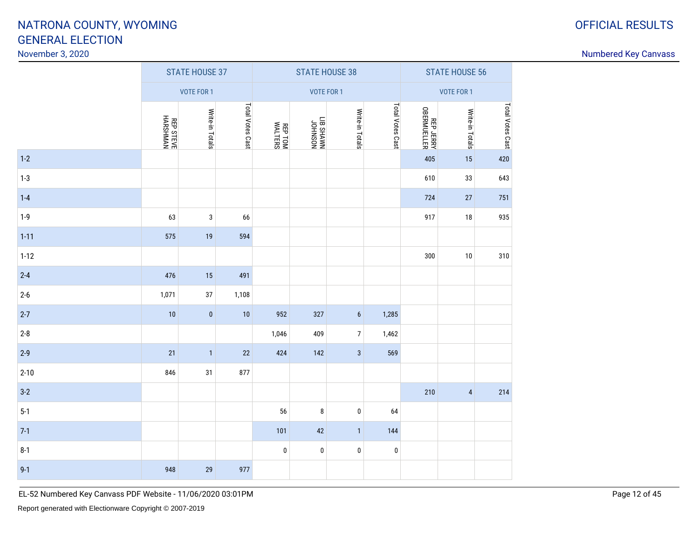### November 3, 2020

|          | <b>STATE HOUSE 37</b>        |                   |                  | <b>STATE HOUSE 38</b>     |                      |                  |                         | <b>STATE HOUSE 56</b>           |                   |                  |  |
|----------|------------------------------|-------------------|------------------|---------------------------|----------------------|------------------|-------------------------|---------------------------------|-------------------|------------------|--|
|          |                              | <b>VOTE FOR 1</b> |                  |                           | <b>VOTE FOR 1</b>    |                  |                         |                                 | <b>VOTE FOR 1</b> |                  |  |
|          | <b>REP STEVE</b><br>HARSHMAN | Write-in Totals   | Total Votes Cast | <b>REP TOM</b><br>WALTERS | NOSNHOL<br>NWAHS 811 | Write-in Totals  | <b>Total Votes Cast</b> | <b>REP JERRY</b><br>OBERMUELLER | Write-in Totals   | Total Votes Cast |  |
| $1-2$    |                              |                   |                  |                           |                      |                  |                         | 405                             | 15                | 420              |  |
| $1-3$    |                              |                   |                  |                           |                      |                  |                         | 610                             | 33                | 643              |  |
| $1 - 4$  |                              |                   |                  |                           |                      |                  |                         | 724                             | $27\,$            | 751              |  |
| $1-9$    | 63                           | 3                 | 66               |                           |                      |                  |                         | 917                             | $18$              | 935              |  |
| $1 - 11$ | 575                          | 19                | 594              |                           |                      |                  |                         |                                 |                   |                  |  |
| $1 - 12$ |                              |                   |                  |                           |                      |                  |                         | 300                             | $10$              | 310              |  |
| $2 - 4$  | 476                          | 15                | 491              |                           |                      |                  |                         |                                 |                   |                  |  |
| $2 - 6$  | 1,071                        | 37                | 1,108            |                           |                      |                  |                         |                                 |                   |                  |  |
| $2 - 7$  | 10                           | $\pmb{0}$         | $10$             | 952                       | 327                  | $\boldsymbol{6}$ | 1,285                   |                                 |                   |                  |  |
| $2 - 8$  |                              |                   |                  | 1,046                     | 409                  | $\overline{7}$   | 1,462                   |                                 |                   |                  |  |
| $2-9$    | 21                           | $\mathbf{1}$      | $22\,$           | 424                       | 142                  | $\mathbf{3}$     | 569                     |                                 |                   |                  |  |
| $2 - 10$ | 846                          | 31                | 877              |                           |                      |                  |                         |                                 |                   |                  |  |
| $3-2$    |                              |                   |                  |                           |                      |                  |                         | 210                             | $\sqrt{4}$        | 214              |  |
| $5-1$    |                              |                   |                  | 56                        | 8                    | $\pmb{0}$        | 64                      |                                 |                   |                  |  |
| $7-1$    |                              |                   |                  | 101                       | 42                   | $\mathbf{1}$     | 144                     |                                 |                   |                  |  |
| $8-1$    |                              |                   |                  | $\pmb{0}$                 | $\pmb{0}$            | $\pmb{0}$        | $\pmb{0}$               |                                 |                   |                  |  |
| $9 - 1$  | 948                          | 29                | 977              |                           |                      |                  |                         |                                 |                   |                  |  |

EL-52 Numbered Key Canvass PDF Website - 11/06/2020 03:01PM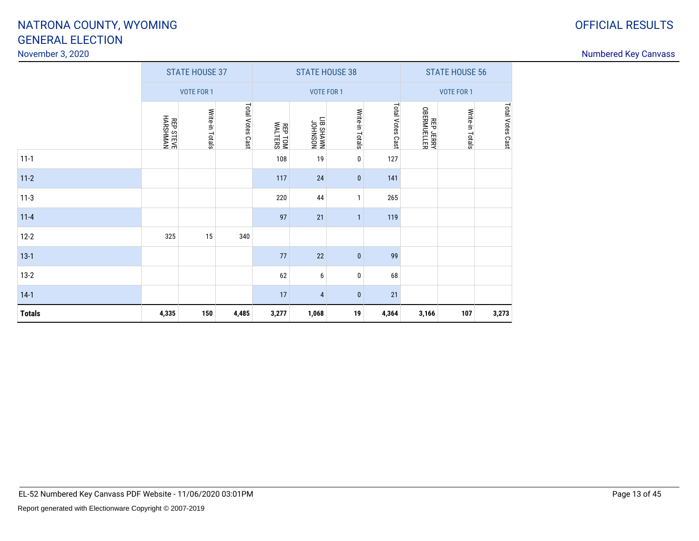### November 3, 2020

| <b>OFFICIAL RESULTS</b> |
|-------------------------|
|                         |

|               | <b>STATE HOUSE 37</b>        |                 |                  |                           | <b>STATE HOUSE 38</b> |                 |                  | <b>STATE HOUSE 56</b>            |                 |                  |  |
|---------------|------------------------------|-----------------|------------------|---------------------------|-----------------------|-----------------|------------------|----------------------------------|-----------------|------------------|--|
|               | <b>VOTE FOR 1</b>            |                 |                  |                           | <b>VOTE FOR 1</b>     |                 |                  | <b>VOTE FOR 1</b>                |                 |                  |  |
|               | <b>REP STEVE</b><br>HARSHMAN | Write-in Totals | Total Votes Cast | <b>REP TOM</b><br>WALTERS | NOSNHOL<br>NWYHS 817  | Write-in Totals | Total Votes Cast | <b>REP JERRY<br/>OBERMUELLER</b> | Write-in Totals | Total Votes Cast |  |
| $11 - 1$      |                              |                 |                  | 108                       | 19                    | 0               | 127              |                                  |                 |                  |  |
| $11-2$        |                              |                 |                  | 117                       | 24                    | $\pmb{0}$       | 141              |                                  |                 |                  |  |
| $11-3$        |                              |                 |                  | 220                       | 44                    | $\mathbf{1}$    | 265              |                                  |                 |                  |  |
| $11 - 4$      |                              |                 |                  | 97                        | 21                    | $\mathbf{1}$    | 119              |                                  |                 |                  |  |
| $12 - 2$      | 325                          | 15              | 340              |                           |                       |                 |                  |                                  |                 |                  |  |
| $13-1$        |                              |                 |                  | 77                        | 22                    | $\pmb{0}$       | 99               |                                  |                 |                  |  |
| $13-2$        |                              |                 |                  | 62                        | 6                     | 0               | 68               |                                  |                 |                  |  |
| $14-1$        |                              |                 |                  | 17                        | 4                     | $\pmb{0}$       | 21               |                                  |                 |                  |  |
| <b>Totals</b> | 4,335                        | 150             | 4,485            | 3,277                     | 1,068                 | 19              | 4,364            | 3,166                            | 107             | 3,273            |  |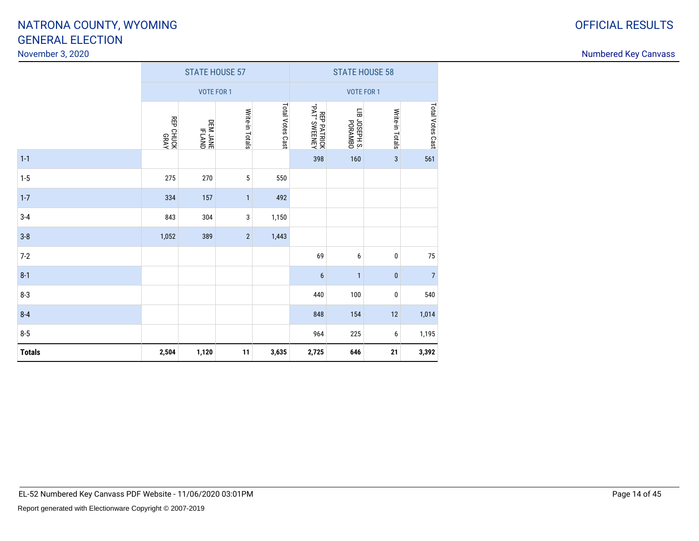#### November 3, 2020

|               |                           | <b>STATE HOUSE 57</b> |                 |                  |                                     | <b>STATE HOUSE 58</b>    |                 |                  |
|---------------|---------------------------|-----------------------|-----------------|------------------|-------------------------------------|--------------------------|-----------------|------------------|
|               | <b>VOTE FOR 1</b>         |                       |                 |                  |                                     | <b>VOTE FOR 1</b>        |                 |                  |
|               | <b>KEP CHUCK</b><br>NOULL | DEM JANE<br>IFLAND    | Write-in Totals | Total Votes Cast | <b>REP PATRICK</b><br>"PAT" SWEENEY | LIB JOSEPH S.<br>PORAMBO | Write-in Totals | Total Votes Cast |
| $1 - 1$       |                           |                       |                 |                  | 398                                 | 160                      | 3               | 561              |
| $1 - 5$       | 275                       | 270                   | $\sqrt{5}$      | 550              |                                     |                          |                 |                  |
| $1 - 7$       | 334                       | 157                   | $\mathbf{1}$    | 492              |                                     |                          |                 |                  |
| $3-4$         | 843                       | 304                   | 3               | 1,150            |                                     |                          |                 |                  |
| $3-8$         | 1,052                     | 389                   | $\overline{2}$  | 1,443            |                                     |                          |                 |                  |
| $7-2$         |                           |                       |                 |                  | 69                                  | $\boldsymbol{6}$         | 0               | 75               |
| $8 - 1$       |                           |                       |                 |                  | $\boldsymbol{6}$                    | $\mathbf{1}$             | $\pmb{0}$       | $\overline{7}$   |
| $8-3$         |                           |                       |                 |                  | 440                                 | 100                      | 0               | 540              |
| $8 - 4$       |                           |                       |                 |                  | 848                                 | 154                      | 12              | 1,014            |
| $8-5$         |                           |                       |                 |                  | 964                                 | 225                      | 6               | 1,195            |
| <b>Totals</b> | 2,504                     | 1,120                 | 11              | 3,635            | 2,725                               | 646                      | 21              | 3,392            |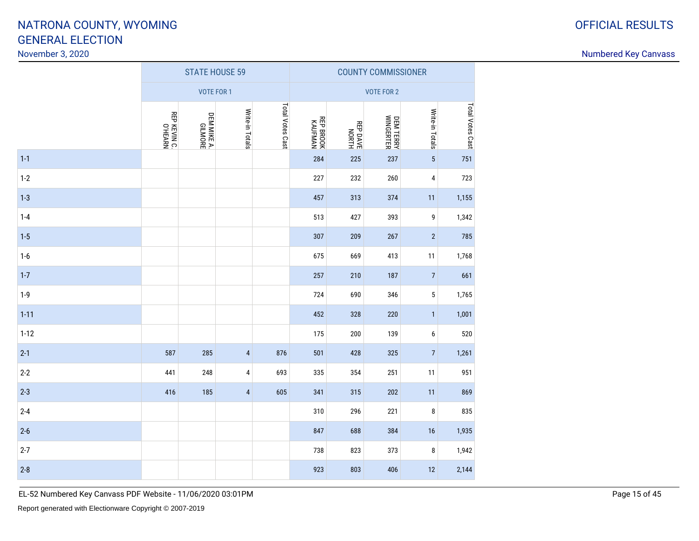### November 3, 2020

#### Numbered Key Canvass

|          | <b>STATE HOUSE 59</b>   |                        |                 |                  | <b>COUNTY COMMISSIONER</b>  |                   |                        |                 |                  |  |
|----------|-------------------------|------------------------|-----------------|------------------|-----------------------------|-------------------|------------------------|-----------------|------------------|--|
|          | <b>VOTE FOR 1</b>       |                        |                 |                  |                             | <b>VOTE FOR 2</b> |                        |                 |                  |  |
|          | REP KEVIN C.<br>O'HEARN | DEM MIKE A.<br>GILMORE | Write-in Totals | Total Votes Cast | <b>REP BROOK</b><br>KAUFMAN | REP DAVE<br>NORTH | DEM TERRY<br>WINGERTER | Write-in Totals | Total Votes Cast |  |
| $1 - 1$  |                         |                        |                 |                  | 284                         | 225               | 237                    | $\overline{5}$  | 751              |  |
| $1 - 2$  |                         |                        |                 |                  | 227                         | 232               | 260                    | 4               | 723              |  |
| $1 - 3$  |                         |                        |                 |                  | 457                         | 313               | 374                    | 11              | 1,155            |  |
| $1 - 4$  |                         |                        |                 |                  | 513                         | 427               | 393                    | 9               | 1,342            |  |
| $1 - 5$  |                         |                        |                 |                  | 307                         | 209               | 267                    | $\sqrt{2}$      | 785              |  |
| $1-6$    |                         |                        |                 |                  | 675                         | 669               | 413                    | 11              | 1,768            |  |
| $1 - 7$  |                         |                        |                 |                  | 257                         | 210               | 187                    | $\sqrt{ }$      | 661              |  |
| $1 - 9$  |                         |                        |                 |                  | 724                         | 690               | 346                    | 5               | 1,765            |  |
| $1 - 11$ |                         |                        |                 |                  | 452                         | 328               | 220                    | $\mathbf{1}$    | 1,001            |  |
| $1 - 12$ |                         |                        |                 |                  | 175                         | 200               | 139                    | 6               | 520              |  |
| $2-1$    | 587                     | 285                    | $\overline{4}$  | 876              | 501                         | 428               | 325                    | $\sqrt{ }$      | 1,261            |  |
| $2 - 2$  | 441                     | 248                    | 4               | 693              | 335                         | 354               | 251                    | 11              | 951              |  |
| $2 - 3$  | 416                     | 185                    | $\overline{4}$  | 605              | 341                         | 315               | 202                    | 11              | 869              |  |
| $2 - 4$  |                         |                        |                 |                  | 310                         | 296               | 221                    | 8               | 835              |  |
| $2-6$    |                         |                        |                 |                  | 847                         | 688               | 384                    | 16              | 1,935            |  |
| $2 - 7$  |                         |                        |                 |                  | 738                         | 823               | 373                    | 8               | 1,942            |  |
| $2 - 8$  |                         |                        |                 |                  | 923                         | 803               | 406                    | 12              | 2,144            |  |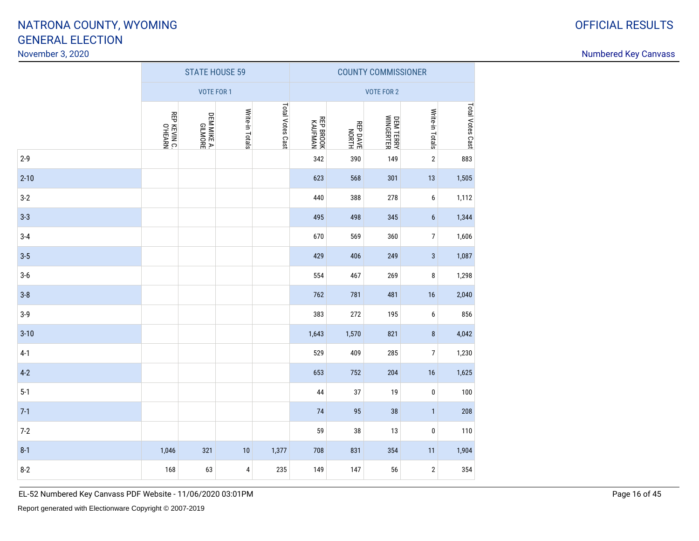#### November 3, 2020

#### Numbered Key Canvass

|          |                         | <b>STATE HOUSE 59</b>  |                 |                  | <b>COUNTY COMMISSIONER</b> |                   |                                |                 |                  |  |
|----------|-------------------------|------------------------|-----------------|------------------|----------------------------|-------------------|--------------------------------|-----------------|------------------|--|
|          | <b>VOTE FOR 1</b>       |                        |                 |                  | <b>VOTE FOR 2</b>          |                   |                                |                 |                  |  |
|          | REP KEVIN C.<br>O'HEARN | DEM MIKE A.<br>GILMORE | Write-in Totals | Total Votes Cast | KAUFMAN<br>KAUFMAN         | REP DAVE<br>NORTH | <b>DEM TERRY<br/>WINGERTER</b> | Write-in Totals | Total Votes Cast |  |
| $2-9$    |                         |                        |                 |                  | 342                        | 390               | 149                            | $\sqrt{2}$      | 883              |  |
| $2 - 10$ |                         |                        |                 |                  | 623                        | 568               | 301                            | 13              | 1,505            |  |
| $3-2$    |                         |                        |                 |                  | 440                        | 388               | 278                            | 6               | 1,112            |  |
| $3 - 3$  |                         |                        |                 |                  | 495                        | 498               | 345                            | 6               | 1,344            |  |
| $3 - 4$  |                         |                        |                 |                  | 670                        | 569               | 360                            | $\overline{7}$  | 1,606            |  |
| $3 - 5$  |                         |                        |                 |                  | 429                        | 406               | 249                            | $\sqrt{3}$      | 1,087            |  |
| $3-6$    |                         |                        |                 |                  | 554                        | 467               | 269                            | 8               | 1,298            |  |
| $3 - 8$  |                         |                        |                 |                  | 762                        | 781               | 481                            | 16              | 2,040            |  |
| $3-9$    |                         |                        |                 |                  | 383                        | 272               | 195                            | 6               | 856              |  |
| $3 - 10$ |                         |                        |                 |                  | 1,643                      | 1,570             | 821                            | $\bf 8$         | 4,042            |  |
| $4-1$    |                         |                        |                 |                  | 529                        | 409               | 285                            | $\overline{7}$  | 1,230            |  |
| $4-2$    |                         |                        |                 |                  | 653                        | 752               | 204                            | 16              | 1,625            |  |
| $5 - 1$  |                         |                        |                 |                  | 44                         | 37                | 19                             | $\pmb{0}$       | 100              |  |
| $7-1$    |                         |                        |                 |                  | 74                         | 95                | 38                             | $\mathbf{1}$    | 208              |  |
| $7-2$    |                         |                        |                 |                  | 59                         | 38                | 13                             | $\pmb{0}$       | 110              |  |
| $8 - 1$  | 1,046                   | 321                    | $10$            | 1,377            | 708                        | 831               | 354                            | 11              | 1,904            |  |
| $8 - 2$  | 168                     | 63                     | 4               | 235              | 149                        | 147               | 56                             | $\sqrt{2}$      | 354              |  |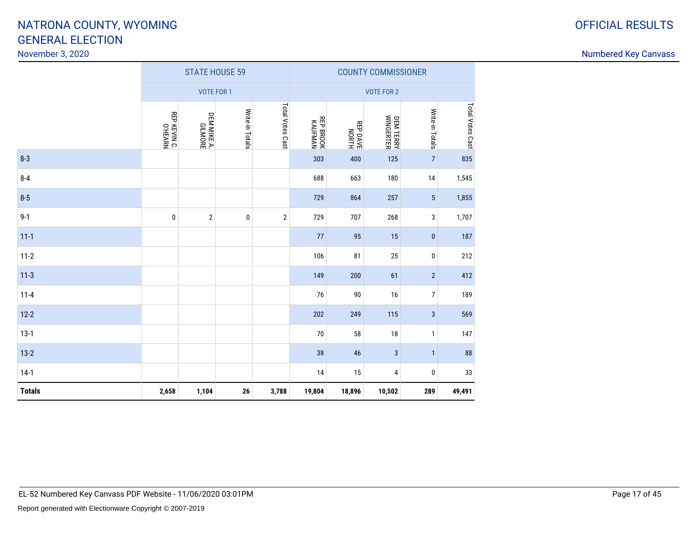### November 3, 2020

| ⌒ | <b>OFFICIAL RESULTS</b> |
|---|-------------------------|
|   |                         |

|               |                         | <b>STATE HOUSE 59</b>  |                 |                  | <b>COUNTY COMMISSIONER</b> |                          |                               |                 |                  |
|---------------|-------------------------|------------------------|-----------------|------------------|----------------------------|--------------------------|-------------------------------|-----------------|------------------|
|               | <b>VOTE FOR 1</b>       |                        |                 |                  | <b>VOTE FOR 2</b>          |                          |                               |                 |                  |
|               | REP KEVIN C.<br>O'HEARN | DEM MIKE A.<br>GILMORE | Write-in Totals | Total Votes Cast | KAUFMAN<br>KAUFMAN         | <b>REP DAVE</b><br>NORTH | <b>DEM TERRY</b><br>WINGERTER | Write-in Totals | Total Votes Cast |
| $8 - 3$       |                         |                        |                 |                  | 303                        | 400                      | 125                           | $\sqrt{ }$      | 835              |
| $8 - 4$       |                         |                        |                 |                  | 688                        | 663                      | 180                           | 14              | 1,545            |
| $8 - 5$       |                         |                        |                 |                  | 729                        | 864                      | 257                           | 5               | 1,855            |
| $9 - 1$       | $\pmb{0}$               | $\overline{2}$         | $\pmb{0}$       | $\mathbf{2}$     | 729                        | 707                      | 268                           | 3               | 1,707            |
| $11-1$        |                         |                        |                 |                  | 77                         | 95                       | 15                            | $\pmb{0}$       | 187              |
| $11-2$        |                         |                        |                 |                  | 106                        | 81                       | 25                            | $\pmb{0}$       | 212              |
| $11-3$        |                         |                        |                 |                  | 149                        | 200                      | 61                            | $\overline{2}$  | 412              |
| $11 - 4$      |                         |                        |                 |                  | 76                         | $90\,$                   | 16                            | $\overline{7}$  | 189              |
| $12 - 2$      |                         |                        |                 |                  | 202                        | 249                      | 115                           | $\sqrt{3}$      | 569              |
| $13-1$        |                         |                        |                 |                  | 70                         | 58                       | 18                            | $\mathbf{1}$    | 147              |
| $13 - 2$      |                         |                        |                 |                  | 38                         | 46                       | $\mathbf{3}$                  | 1               | ${\bf 88}$       |
| $14-1$        |                         |                        |                 |                  | 14                         | 15                       | 4                             | $\pmb{0}$       | 33               |
| <b>Totals</b> | 2,658                   | 1,104                  | ${\bf 26}$      | 3,788            | 19,804                     | 18,896                   | 10,502                        | 289             | 49,491           |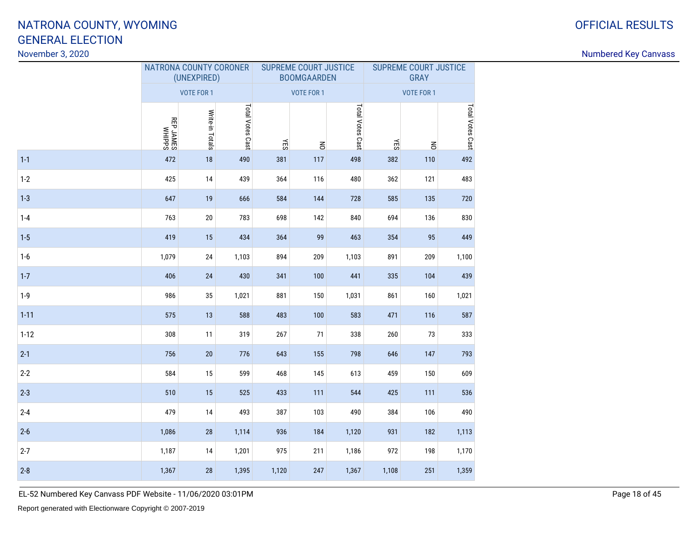#### November 3, 2020

| <b>OFFICIAL RESULTS</b> |
|-------------------------|
|                         |

Numbered Key Canvass

|          |                     | NATRONA COUNTY CORONER<br>(UNEXPIRED) |                  |       | <b>SUPREME COURT JUSTICE</b><br><b>BOOMGAARDEN</b> |                  | SUPREME COURT JUSTICE<br><b>GRAY</b> |                |                  |  |
|----------|---------------------|---------------------------------------|------------------|-------|----------------------------------------------------|------------------|--------------------------------------|----------------|------------------|--|
|          | <b>VOTE FOR 1</b>   |                                       |                  |       | <b>VOTE FOR 1</b>                                  |                  | <b>VOTE FOR 1</b>                    |                |                  |  |
|          | SddIHM<br>S3NVr d38 | Write-in Totals                       | Total Votes Cast | ΥES   | $\leq$                                             | Total Votes Cast | KES                                  | $\overline{6}$ | Total Votes Cast |  |
| $1 - 1$  | 472                 | $18$                                  | 490              | 381   | 117                                                | 498              | 382                                  | 110            | 492              |  |
| $1-2$    | 425                 | 14                                    | 439              | 364   | 116                                                | 480              | 362                                  | 121            | 483              |  |
| $1 - 3$  | 647                 | 19                                    | 666              | 584   | 144                                                | 728              | 585                                  | 135            | 720              |  |
| $1-4$    | 763                 | $20\,$                                | 783              | 698   | 142                                                | 840              | 694                                  | 136            | 830              |  |
| $1-5$    | 419                 | 15                                    | 434              | 364   | 99                                                 | 463              | 354                                  | 95             | 449              |  |
| $1-6$    | 1,079               | 24                                    | 1,103            | 894   | 209                                                | 1,103            | 891                                  | 209            | 1,100            |  |
| $1 - 7$  | 406                 | 24                                    | 430              | 341   | 100                                                | 441              | 335                                  | 104            | 439              |  |
| $1 - 9$  | 986                 | 35                                    | 1,021            | 881   | 150                                                | 1,031            | 861                                  | 160            | 1,021            |  |
| $1 - 11$ | 575                 | 13                                    | 588              | 483   | 100                                                | 583              | 471                                  | 116            | 587              |  |
| $1 - 12$ | 308                 | 11                                    | 319              | 267   | $71$                                               | 338              | 260                                  | 73             | 333              |  |
| $2-1$    | 756                 | $20\,$                                | 776              | 643   | 155                                                | 798              | 646                                  | 147            | 793              |  |
| $2 - 2$  | 584                 | 15                                    | 599              | 468   | 145                                                | 613              | 459                                  | 150            | 609              |  |
| $2 - 3$  | 510                 | 15                                    | 525              | 433   | 111                                                | 544              | 425                                  | 111            | 536              |  |
| $2 - 4$  | 479                 | 14                                    | 493              | 387   | 103                                                | 490              | 384                                  | 106            | 490              |  |
| $2-6$    | 1,086               | 28                                    | 1,114            | 936   | 184                                                | 1,120            | 931                                  | 182            | 1,113            |  |
| $2 - 7$  | 1,187               | 14                                    | 1,201            | 975   | 211                                                | 1,186            | 972                                  | 198            | 1,170            |  |
| $2 - 8$  | 1,367               | 28                                    | 1,395            | 1,120 | 247                                                | 1,367            | 1,108                                | 251            | 1,359            |  |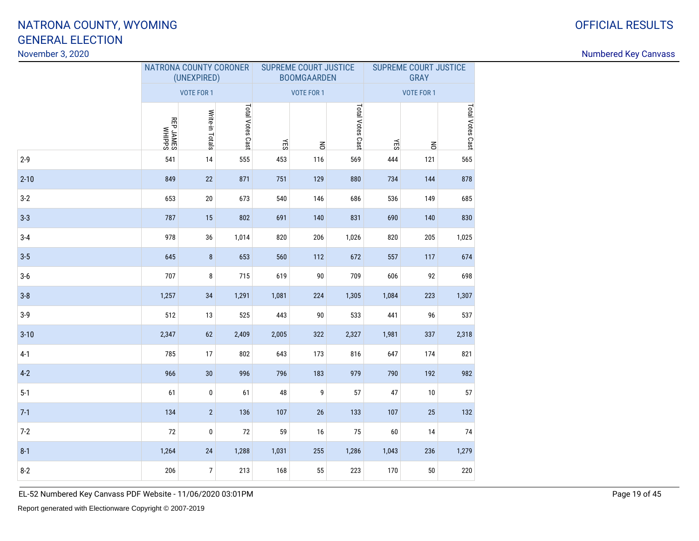#### November 3, 2020

| <b>OFFICIAL RESULTS</b> |
|-------------------------|
|                         |

|          |                            | NATRONA COUNTY CORONER<br>(UNEXPIRED) |                  |            | <b>SUPREME COURT JUSTICE</b><br><b>BOOMGAARDEN</b> |                  | SUPREME COURT JUSTICE<br><b>GRAY</b> |        |                  |  |
|----------|----------------------------|---------------------------------------|------------------|------------|----------------------------------------------------|------------------|--------------------------------------|--------|------------------|--|
|          |                            | <b>VOTE FOR 1</b>                     |                  |            | <b>VOTE FOR 1</b>                                  |                  | <b>VOTE FOR 1</b>                    |        |                  |  |
|          | <b>SHILM<br/>SEP JAMES</b> | Write-in Totals                       | Total Votes Cast | <b>YES</b> | $\leq$                                             | Total Votes Cast | KES                                  | $\leq$ | Total Votes Cast |  |
| $2 - 9$  | 541                        | $14$                                  | 555              | 453        | 116                                                | 569              | 444                                  | 121    | 565              |  |
| $2 - 10$ | 849                        | 22                                    | 871              | 751        | 129                                                | 880              | 734                                  | 144    | 878              |  |
| $3-2$    | 653                        | $20\,$                                | 673              | 540        | 146                                                | 686              | 536                                  | 149    | 685              |  |
| $3 - 3$  | 787                        | 15                                    | 802              | 691        | 140                                                | 831              | 690                                  | 140    | 830              |  |
| $3-4$    | 978                        | 36                                    | 1,014            | 820        | 206                                                | 1,026            | 820                                  | 205    | 1,025            |  |
| $3-5$    | 645                        | $\bf 8$                               | 653              | 560        | 112                                                | 672              | 557                                  | 117    | 674              |  |
| $3-6$    | 707                        | 8                                     | 715              | 619        | $90\,$                                             | 709              | 606                                  | 92     | 698              |  |
| $3-8$    | 1,257                      | 34                                    | 1,291            | 1,081      | 224                                                | 1,305            | 1,084                                | 223    | 1,307            |  |
| $3-9$    | 512                        | 13                                    | 525              | 443        | $90\,$                                             | 533              | 441                                  | 96     | 537              |  |
| $3 - 10$ | 2,347                      | 62                                    | 2,409            | 2,005      | 322                                                | 2,327            | 1,981                                | 337    | 2,318            |  |
| $4-1$    | 785                        | 17                                    | 802              | 643        | 173                                                | 816              | 647                                  | 174    | 821              |  |
| $4 - 2$  | 966                        | 30                                    | 996              | 796        | 183                                                | 979              | 790                                  | 192    | 982              |  |
| $5-1$    | 61                         | 0                                     | 61               | 48         | 9                                                  | 57               | 47                                   | 10     | 57               |  |
| $7-1$    | 134                        | $\overline{2}$                        | 136              | 107        | 26                                                 | 133              | 107                                  | 25     | 132              |  |
| $7 - 2$  | 72                         | $\pmb{0}$                             | $72\,$           | 59         | 16                                                 | 75               | 60                                   | 14     | 74               |  |
| $8 - 1$  | 1,264                      | 24                                    | 1,288            | 1,031      | 255                                                | 1,286            | 1,043                                | 236    | 1,279            |  |
| $8-2$    | 206                        | $\boldsymbol{7}$                      | 213              | 168        | 55                                                 | 223              | 170                                  | $50\,$ | 220              |  |

EL-52 Numbered Key Canvass PDF Website - 11/06/2020 03:01PM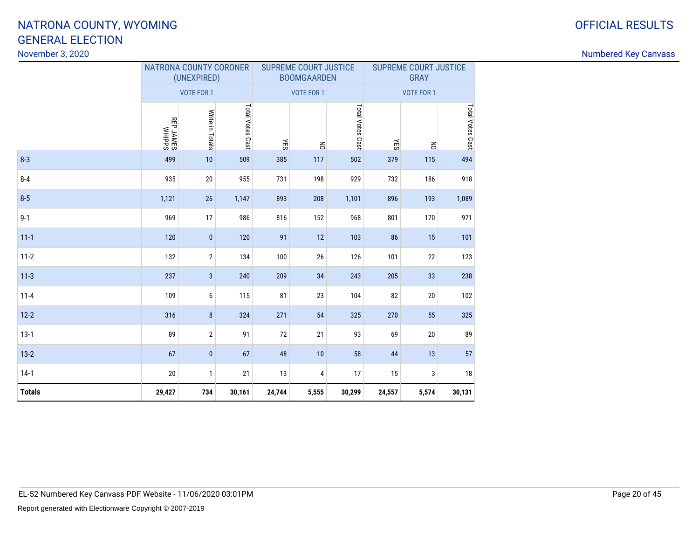#### November 3, 2020

|               |             | <b>NATRONA COUNTY CORONER</b><br>(UNEXPIRED) |                  |        | <b>SUPREME COURT JUSTICE</b><br><b>BOOMGAARDEN</b> |                  | <b>SUPREME COURT JUSTICE</b><br><b>GRAY</b> |                   |                  |  |
|---------------|-------------|----------------------------------------------|------------------|--------|----------------------------------------------------|------------------|---------------------------------------------|-------------------|------------------|--|
|               |             | <b>VOTE FOR 1</b>                            |                  |        | <b>VOTE FOR 1</b>                                  |                  |                                             | <b>VOTE FOR 1</b> |                  |  |
|               | SHIP WHIPPS | Write-in Totals                              | Total Votes Cast | ÆЗ     | $\leq$                                             | Total Votes Cast | YES                                         | $\leq$            | Total Votes Cast |  |
| $8 - 3$       | 499         | 10                                           | 509              | 385    | 117                                                | 502              | 379                                         | 115               | 494              |  |
| $8 - 4$       | 935         | $20\,$                                       | 955              | 731    | 198                                                | 929              | 732                                         | 186               | 918              |  |
| $8 - 5$       | 1,121       | 26                                           | 1,147            | 893    | 208                                                | 1,101            | 896                                         | 193               | 1,089            |  |
| $9 - 1$       | 969         | 17                                           | 986              | 816    | 152                                                | 968              | 801                                         | 170               | 971              |  |
| $11 - 1$      | 120         | $\bf{0}$                                     | 120              | 91     | 12                                                 | 103              | 86                                          | 15                | 101              |  |
| $11-2$        | 132         | $\sqrt{2}$                                   | 134              | 100    | 26                                                 | 126              | 101                                         | 22                | 123              |  |
| $11-3$        | 237         | $\mathbf{3}$                                 | 240              | 209    | 34                                                 | 243              | 205                                         | 33                | 238              |  |
| $11 - 4$      | 109         | 6                                            | 115              | 81     | 23                                                 | 104              | 82                                          | $20\,$            | 102              |  |
| $12 - 2$      | 316         | $\bf 8$                                      | 324              | 271    | 54                                                 | 325              | 270                                         | 55                | 325              |  |
| $13-1$        | 89          | $\overline{2}$                               | 91               | 72     | 21                                                 | 93               | 69                                          | 20                | 89               |  |
| $13-2$        | 67          | $\pmb{0}$                                    | 67               | 48     | 10                                                 | 58               | 44                                          | 13                | 57               |  |
| $14-1$        | 20          | $\mathbf{1}$                                 | 21               | 13     | 4                                                  | 17               | 15                                          | 3                 | $18\,$           |  |
| <b>Totals</b> | 29,427      | 734                                          | 30,161           | 24,744 | 5,555                                              | 30,299           | 24,557                                      | 5,574             | 30,131           |  |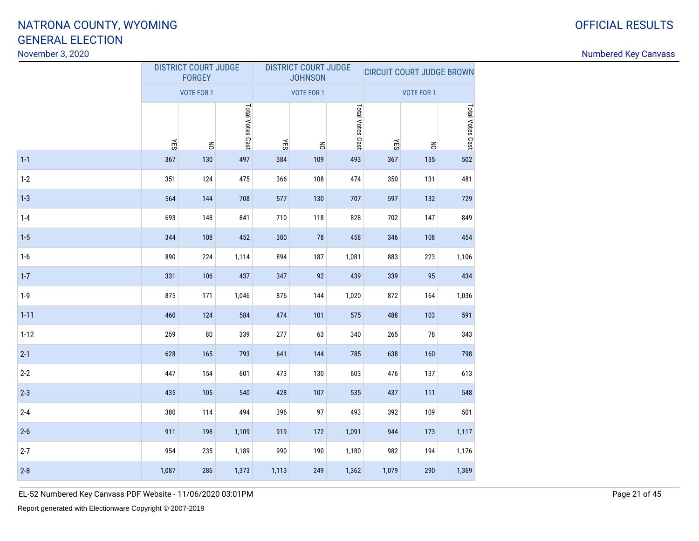November 3, 2020

|          |       | <b>DISTRICT COURT JUDGE</b><br><b>FORGEY</b> |                  |       | <b>DISTRICT COURT JUDGE</b><br><b>JOHNSON</b> |                  |       | <b>CIRCUIT COURT JUDGE BROWN</b> |                  |
|----------|-------|----------------------------------------------|------------------|-------|-----------------------------------------------|------------------|-------|----------------------------------|------------------|
|          |       | <b>VOTE FOR 1</b>                            |                  |       | <b>VOTE FOR 1</b>                             |                  |       | <b>VOTE FOR 1</b>                |                  |
|          | KES   | $\leq$                                       | Total Votes Cast | KES   | $\leq$                                        | Total Votes Cast | ΚES   | $\leq$                           | Total Votes Cast |
| $1 - 1$  | 367   | 130                                          | 497              | 384   | 109                                           | 493              | 367   | 135                              | 502              |
| $1-2$    | 351   | 124                                          | 475              | 366   | 108                                           | 474              | 350   | 131                              | 481              |
| $1 - 3$  | 564   | 144                                          | 708              | 577   | 130                                           | 707              | 597   | 132                              | 729              |
| $1 - 4$  | 693   | 148                                          | 841              | 710   | 118                                           | 828              | 702   | 147                              | 849              |
| $1-5$    | 344   | 108                                          | 452              | 380   | 78                                            | 458              | 346   | 108                              | 454              |
| $1 - 6$  | 890   | 224                                          | 1,114            | 894   | 187                                           | 1,081            | 883   | 223                              | 1,106            |
| $1 - 7$  | 331   | 106                                          | 437              | 347   | 92                                            | 439              | 339   | 95                               | 434              |
| $1-9$    | 875   | 171                                          | 1,046            | 876   | 144                                           | 1,020            | 872   | 164                              | 1,036            |
| $1 - 11$ | 460   | 124                                          | 584              | 474   | 101                                           | 575              | 488   | 103                              | 591              |
| $1 - 12$ | 259   | 80                                           | 339              | 277   | 63                                            | 340              | 265   | 78                               | 343              |
| $2 - 1$  | 628   | 165                                          | 793              | 641   | 144                                           | 785              | 638   | 160                              | 798              |
| $2 - 2$  | 447   | 154                                          | 601              | 473   | 130                                           | 603              | 476   | 137                              | 613              |
| $2 - 3$  | 435   | 105                                          | 540              | 428   | 107                                           | 535              | 437   | 111                              | 548              |
| $2 - 4$  | 380   | 114                                          | 494              | 396   | 97                                            | 493              | 392   | 109                              | 501              |
| $2 - 6$  | 911   | 198                                          | 1,109            | 919   | 172                                           | 1,091            | 944   | 173                              | 1,117            |
| $2 - 7$  | 954   | 235                                          | 1,189            | 990   | 190                                           | 1,180            | 982   | 194                              | 1,176            |
| $2 - 8$  | 1,087 | 286                                          | 1,373            | 1,113 | 249                                           | 1,362            | 1,079 | 290                              | 1,369            |

OFFICIAL RESULTS

Numbered Key Canvass

EL-52 Numbered Key Canvass PDF Website - 11/06/2020 03:01PM

Report generated with Electionware Copyright © 2007-2019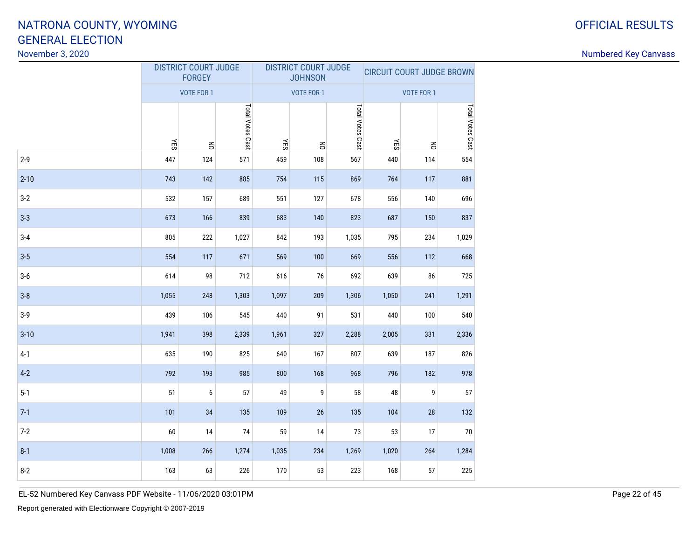November 3, 2020

|          |       | <b>DISTRICT COURT JUDGE</b><br><b>FORGEY</b> |                  | <b>DISTRICT COURT JUDGE</b><br><b>JOHNSON</b> |                   |                  |            | <b>CIRCUIT COURT JUDGE BROWN</b> |                  |  |  |
|----------|-------|----------------------------------------------|------------------|-----------------------------------------------|-------------------|------------------|------------|----------------------------------|------------------|--|--|
|          |       | <b>VOTE FOR 1</b>                            |                  |                                               | <b>VOTE FOR 1</b> |                  |            | <b>VOTE FOR 1</b>                |                  |  |  |
|          | ЯÁ    | $\leq$                                       | Total Votes Cast | KES                                           | $\leq$            | Total Votes Cast | <b>YES</b> | $\leq$                           | Total Votes Cast |  |  |
| $2 - 9$  | 447   | 124                                          | 571              | 459                                           | 108               | 567              | 440        | 114                              | 554              |  |  |
| $2 - 10$ | 743   | 142                                          | 885              | 754                                           | 115               | 869              | 764        | 117                              | 881              |  |  |
| $3-2$    | 532   | 157                                          | 689              | 551                                           | 127               | 678              | 556        | 140                              | 696              |  |  |
| $3 - 3$  | 673   | 166                                          | 839              | 683                                           | 140               | 823              | 687        | 150                              | 837              |  |  |
| $3-4$    | 805   | 222                                          | 1,027            | 842                                           | 193               | 1,035            | 795        | 234                              | 1,029            |  |  |
| $3 - 5$  | 554   | 117                                          | 671              | 569                                           | 100               | 669              | 556        | 112                              | 668              |  |  |
| $3-6$    | 614   | 98                                           | 712              | 616                                           | 76                | 692              | 639        | 86                               | 725              |  |  |
| $3 - 8$  | 1,055 | 248                                          | 1,303            | 1,097                                         | 209               | 1,306            | 1,050      | 241                              | 1,291            |  |  |
| $3-9$    | 439   | 106                                          | 545              | 440                                           | 91                | 531              | 440        | 100                              | 540              |  |  |
| $3 - 10$ | 1,941 | 398                                          | 2,339            | 1,961                                         | 327               | 2,288            | 2,005      | 331                              | 2,336            |  |  |
| $4-1$    | 635   | 190                                          | 825              | 640                                           | 167               | 807              | 639        | 187                              | 826              |  |  |
| $4 - 2$  | 792   | 193                                          | 985              | 800                                           | 168               | 968              | 796        | 182                              | 978              |  |  |
| $5 - 1$  | 51    | $\boldsymbol{6}$                             | 57               | 49                                            | 9                 | 58               | 48         | 9                                | 57               |  |  |
| $7-1$    | 101   | 34                                           | 135              | 109                                           | $26$              | 135              | 104        | 28                               | 132              |  |  |
| $7-2$    | 60    | 14                                           | 74               | 59                                            | 14                | 73               | 53         | 17                               | $70\,$           |  |  |
| $8 - 1$  | 1,008 | 266                                          | 1,274            | 1,035                                         | 234               | 1,269            | 1,020      | 264                              | 1,284            |  |  |
| $8-2$    | 163   | 63                                           | 226              | 170                                           | 53                | 223              | 168        | 57                               | 225              |  |  |

# Numbered Key Canvass

OFFICIAL RESULTS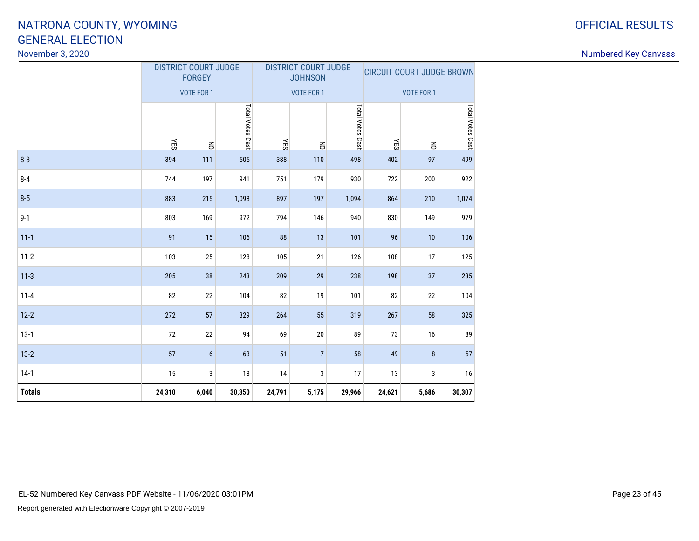#### November 3, 2020

|               |        | <b>DISTRICT COURT JUDGE</b><br><b>FORGEY</b> |                  |        | <b>DISTRICT COURT JUDGE</b><br><b>JOHNSON</b> |                  |            | <b>CIRCUIT COURT JUDGE BROWN</b> |                  |
|---------------|--------|----------------------------------------------|------------------|--------|-----------------------------------------------|------------------|------------|----------------------------------|------------------|
|               |        | <b>VOTE FOR 1</b>                            |                  |        | <b>VOTE FOR 1</b>                             |                  |            | <b>VOTE FOR 1</b>                |                  |
|               | ЯÁ     | $\leq$                                       | Total Votes Cast | ΚES    | $\leq$                                        | Total Votes Cast | <b>YES</b> | $\leq$                           | Total Votes Cast |
| $8 - 3$       | 394    | 111                                          | 505              | 388    | 110                                           | 498              | 402        | 97                               | 499              |
| $8 - 4$       | 744    | 197                                          | 941              | 751    | 179                                           | 930              | 722        | 200                              | 922              |
| $8 - 5$       | 883    | 215                                          | 1,098            | 897    | 197                                           | 1,094            | 864        | 210                              | 1,074            |
| $9-1$         | 803    | 169                                          | 972              | 794    | 146                                           | 940              | 830        | 149                              | 979              |
| $11 - 1$      | 91     | 15                                           | 106              | 88     | 13                                            | 101              | 96         | 10                               | 106              |
| $11-2$        | 103    | 25                                           | 128              | 105    | 21                                            | 126              | 108        | 17                               | 125              |
| $11-3$        | 205    | 38                                           | 243              | 209    | 29                                            | 238              | 198        | 37                               | 235              |
| $11 - 4$      | 82     | 22                                           | 104              | 82     | 19                                            | 101              | 82         | 22                               | 104              |
| $12-2$        | 272    | 57                                           | 329              | 264    | 55                                            | 319              | 267        | 58                               | 325              |
| $13-1$        | 72     | 22                                           | 94               | 69     | 20                                            | 89               | 73         | 16                               | 89               |
| $13-2$        | 57     | 6                                            | 63               | 51     | $\overline{7}$                                | 58               | 49         | 8                                | 57               |
| $14-1$        | 15     | 3                                            | 18               | 14     | 3                                             | 17               | 13         | 3                                | 16               |
| <b>Totals</b> | 24,310 | 6,040                                        | 30,350           | 24,791 | 5,175                                         | 29,966           | 24,621     | 5,686                            | 30,307           |

### OFFICIAL RESULTS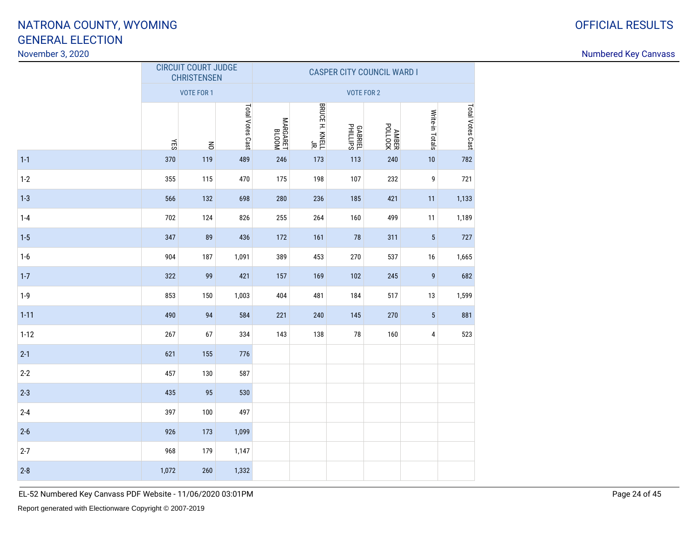#### November 3, 2020

|          |       | <b>CIRCUIT COURT JUDGE</b><br><b>CHRISTENSEN</b> |                  |                   |                                  | <b>CASPER CITY COUNCIL WARD I</b> |                  |                 |                  |
|----------|-------|--------------------------------------------------|------------------|-------------------|----------------------------------|-----------------------------------|------------------|-----------------|------------------|
|          |       | <b>VOTE FOR 1</b>                                |                  |                   |                                  | VOTE FOR 2                        |                  |                 |                  |
|          | ЯÁ    | $\leq$                                           | Total Votes Cast | MARGARET<br>BLOOM | BRUCE H. KNELL<br>BRUCE H. KNELL | <b>GABRIEL</b><br>PHILLIPS        | ANBER<br>POLLOCK | Write-in Totals | Total Votes Cast |
| $1 - 1$  | 370   | 119                                              | 489              | 246               | 173                              | 113                               | 240              | $10\,$          | 782              |
| $1-2$    | 355   | 115                                              | 470              | 175               | 198                              | 107                               | 232              | 9               | 721              |
| $1 - 3$  | 566   | 132                                              | 698              | 280               | 236                              | 185                               | 421              | 11              | 1,133            |
| $1 - 4$  | 702   | 124                                              | 826              | 255               | 264                              | 160                               | 499              | 11              | 1,189            |
| $1-5$    | 347   | 89                                               | 436              | 172               | 161                              | 78                                | 311              | $5\,$           | 727              |
| $1-6$    | 904   | 187                                              | 1,091            | 389               | 453                              | 270                               | 537              | 16              | 1,665            |
| $1 - 7$  | 322   | 99                                               | 421              | 157               | 169                              | 102                               | 245              | 9               | 682              |
| $1-9$    | 853   | 150                                              | 1,003            | 404               | 481                              | 184                               | 517              | 13              | 1,599            |
| $1 - 11$ | 490   | 94                                               | 584              | 221               | 240                              | 145                               | 270              | $5\,$           | 881              |
| $1 - 12$ | 267   | 67                                               | 334              | 143               | 138                              | $78\,$                            | 160              | 4               | 523              |
| $2 - 1$  | 621   | 155                                              | 776              |                   |                                  |                                   |                  |                 |                  |
| $2 - 2$  | 457   | 130                                              | 587              |                   |                                  |                                   |                  |                 |                  |
| $2 - 3$  | 435   | 95                                               | 530              |                   |                                  |                                   |                  |                 |                  |
| $2 - 4$  | 397   | 100                                              | 497              |                   |                                  |                                   |                  |                 |                  |
| $2 - 6$  | 926   | 173                                              | 1,099            |                   |                                  |                                   |                  |                 |                  |
| $2 - 7$  | 968   | 179                                              | 1,147            |                   |                                  |                                   |                  |                 |                  |
| $2 - 8$  | 1,072 | 260                                              | 1,332            |                   |                                  |                                   |                  |                 |                  |

Numbered Key Canvass

EL-52 Numbered Key Canvass PDF Website - 11/06/2020 03:01PM

Report generated with Electionware Copyright © 2007-2019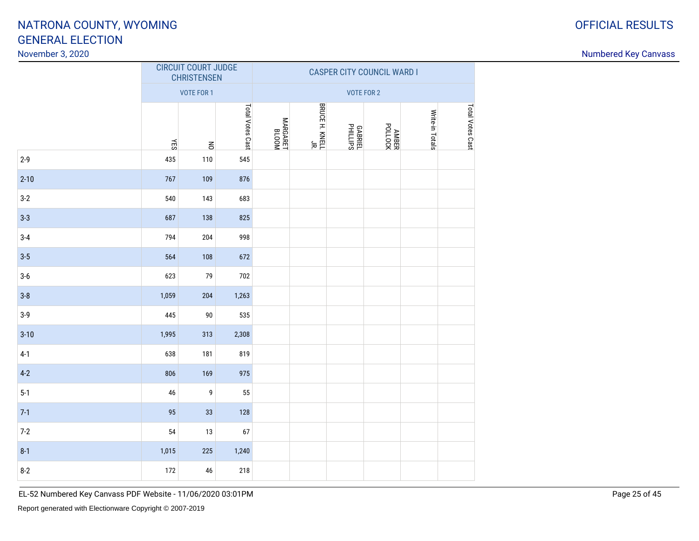#### November 3, 2020

| <b>DUNTY, WYOMING</b><br><b>ECTION</b><br>0 |            |                                                  |                         |                 |                                  |                            |                                   |                    |                               | <b>OFFICIAL RESULTS</b><br><b>Numbered Key Canvass</b> |
|---------------------------------------------|------------|--------------------------------------------------|-------------------------|-----------------|----------------------------------|----------------------------|-----------------------------------|--------------------|-------------------------------|--------------------------------------------------------|
|                                             |            | <b>CIRCUIT COURT JUDGE</b><br><b>CHRISTENSEN</b> |                         |                 |                                  |                            | <b>CASPER CITY COUNCIL WARD I</b> |                    |                               |                                                        |
|                                             |            | <b>VOTE FOR 1</b>                                |                         |                 |                                  |                            | VOTE FOR 2                        |                    |                               |                                                        |
|                                             | ΚES<br>435 | $\overline{5}$<br>110                            | Total Votes Cast<br>545 | RGARET<br>BLOOM | BRUCE H. KNELL<br>BRUCE H. KNELL | <b>GABRIEL</b><br>PHILLIPS | ANDOLOOK<br>POLLOCK               | Write-in<br>Totals | late)<br><b>Votes</b><br>Cast |                                                        |
|                                             |            |                                                  |                         |                 |                                  |                            |                                   |                    |                               |                                                        |

|          |       | <b>CHRISTENSEN</b> |                  | <b><i>UASPER UITT GUUNGIL WARD I</i></b> |                                  |                            |       |                 |                  |  |
|----------|-------|--------------------|------------------|------------------------------------------|----------------------------------|----------------------------|-------|-----------------|------------------|--|
|          |       | VOTE FOR 1         |                  |                                          |                                  | <b>VOTE FOR 2</b>          |       |                 |                  |  |
|          | YES   | $\leq$             | Total Votes Cast | MOOTB<br>BLOOM                           | BRUCE H. KNELL<br>BRUCE H. KNELL | <b>GABRIEL</b><br>PHILLIPS | ANBER | Write-in Totals | Total Votes Cast |  |
| $2-9$    | 435   | 110                | 545              |                                          |                                  |                            |       |                 |                  |  |
| $2 - 10$ | 767   | 109                | 876              |                                          |                                  |                            |       |                 |                  |  |
| $3-2$    | 540   | 143                | 683              |                                          |                                  |                            |       |                 |                  |  |
| $3 - 3$  | 687   | 138                | 825              |                                          |                                  |                            |       |                 |                  |  |
| $3-4$    | 794   | 204                | 998              |                                          |                                  |                            |       |                 |                  |  |
| $3 - 5$  | 564   | 108                | 672              |                                          |                                  |                            |       |                 |                  |  |
| $3-6$    | 623   | 79                 | 702              |                                          |                                  |                            |       |                 |                  |  |
| $3 - 8$  | 1,059 | 204                | 1,263            |                                          |                                  |                            |       |                 |                  |  |
| $3-9$    | 445   | $90\,$             | 535              |                                          |                                  |                            |       |                 |                  |  |
| $3 - 10$ | 1,995 | 313                | 2,308            |                                          |                                  |                            |       |                 |                  |  |
| $4-1$    | 638   | 181                | 819              |                                          |                                  |                            |       |                 |                  |  |
| $4-2$    | 806   | 169                | 975              |                                          |                                  |                            |       |                 |                  |  |
| $5 - 1$  | 46    | 9                  | 55               |                                          |                                  |                            |       |                 |                  |  |
| $7-1$    | 95    | 33                 | 128              |                                          |                                  |                            |       |                 |                  |  |
| $7-2$    | 54    | 13                 | 67               |                                          |                                  |                            |       |                 |                  |  |
| $8 - 1$  | 1,015 | 225                | 1,240            |                                          |                                  |                            |       |                 |                  |  |
| $8-2$    | 172   | 46                 | 218              |                                          |                                  |                            |       |                 |                  |  |

EL-52 Numbered Key Canvass PDF Website - 11/06/2020 03:01PM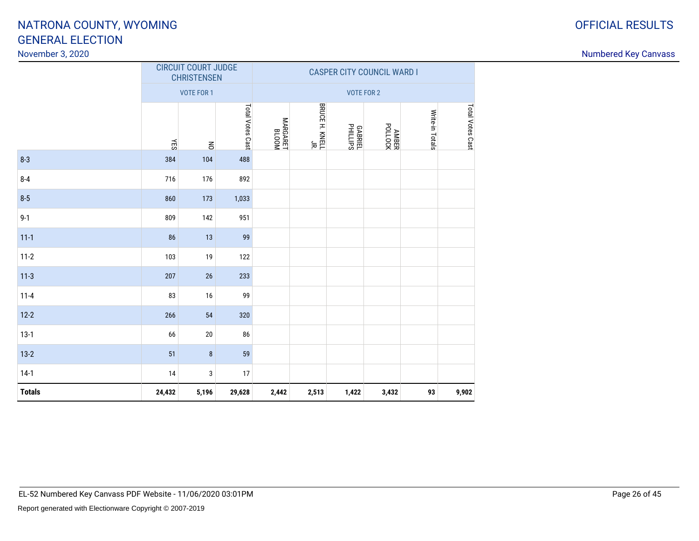### November 3, 2020

|               |        | <b>CIRCUIT COURT JUDGE</b><br><b>CHRISTENSEN</b> |                  | <b>CASPER CITY COUNCIL WARD I</b> |                                  |                            |                |                 |                  |  |
|---------------|--------|--------------------------------------------------|------------------|-----------------------------------|----------------------------------|----------------------------|----------------|-----------------|------------------|--|
|               |        | <b>VOTE FOR 1</b>                                |                  |                                   |                                  | <b>VOTE FOR 2</b>          |                |                 |                  |  |
|               | ÆЗ     | $\leq$                                           | Total Votes Cast | MOOTB<br>BLOOM                    | BRUCE H. KNELL<br>BRUCE H. KNELL | <b>GABRIEL</b><br>PHILLIPS | AMBER<br>AMBER | Write-in Totals | Total Votes Cast |  |
| $8 - 3$       | 384    | 104                                              | 488              |                                   |                                  |                            |                |                 |                  |  |
| $8 - 4$       | 716    | 176                                              | 892              |                                   |                                  |                            |                |                 |                  |  |
| $8 - 5$       | 860    | 173                                              | 1,033            |                                   |                                  |                            |                |                 |                  |  |
| $9 - 1$       | 809    | 142                                              | 951              |                                   |                                  |                            |                |                 |                  |  |
| $11 - 1$      | 86     | $13$                                             | 99               |                                   |                                  |                            |                |                 |                  |  |
| $11-2$        | 103    | 19                                               | 122              |                                   |                                  |                            |                |                 |                  |  |
| $11-3$        | 207    | 26                                               | 233              |                                   |                                  |                            |                |                 |                  |  |
| $11 - 4$      | 83     | 16                                               | 99               |                                   |                                  |                            |                |                 |                  |  |
| $12 - 2$      | 266    | 54                                               | 320              |                                   |                                  |                            |                |                 |                  |  |
| $13-1$        | 66     | $20\,$                                           | 86               |                                   |                                  |                            |                |                 |                  |  |
| $13 - 2$      | 51     | $\bf 8$                                          | 59               |                                   |                                  |                            |                |                 |                  |  |
| $14-1$        | 14     | $\mathsf 3$                                      | 17               |                                   |                                  |                            |                |                 |                  |  |
| <b>Totals</b> | 24,432 | 5,196                                            | 29,628           | 2,442                             | 2,513                            | 1,422                      | 3,432          | 93              | 9,902            |  |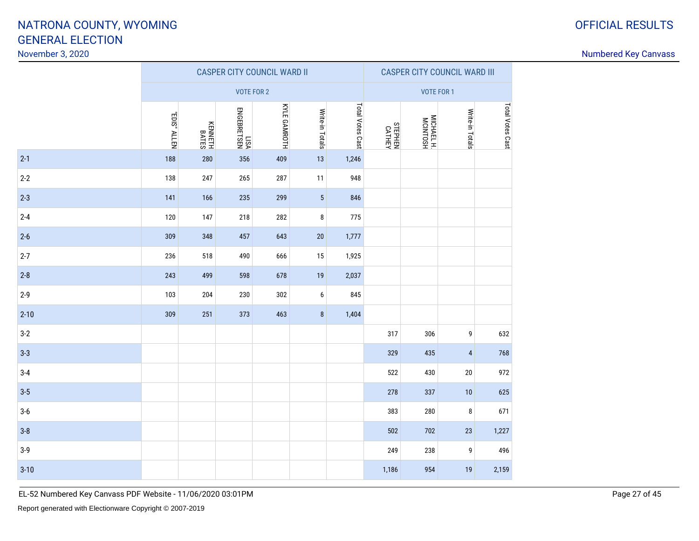#### November 3, 2020

#### Numbered Key Canvass

|          |              |                  |                     | <b>CASPER CITY COUNCIL WARD II</b> |                 |                  | <b>CASPER CITY COUNCIL WARD III</b> |                   |                         |                  |
|----------|--------------|------------------|---------------------|------------------------------------|-----------------|------------------|-------------------------------------|-------------------|-------------------------|------------------|
|          |              |                  | <b>VOTE FOR 2</b>   |                                    |                 |                  |                                     | <b>VOTE FOR 1</b> |                         |                  |
|          | "EDIS" ALLEN | KENNETH<br>BATES | LISA<br>Engebretsen | KYLE GAMROTH                       | Write-in Totals | Total Votes Cast | <b>CATHEN</b><br>REPHEN             | MICHAEL H.        | Write-in Totals         | Total Votes Cast |
| $2 - 1$  | 188          | 280              | 356                 | 409                                | 13              | 1,246            |                                     |                   |                         |                  |
| $2-2$    | 138          | 247              | 265                 | 287                                | $11$            | 948              |                                     |                   |                         |                  |
| $2 - 3$  | 141          | 166              | 235                 | 299                                | $\sqrt{5}$      | 846              |                                     |                   |                         |                  |
| $2 - 4$  | 120          | 147              | 218                 | 282                                | 8               | 775              |                                     |                   |                         |                  |
| $2 - 6$  | 309          | 348              | 457                 | 643                                | $20\,$          | 1,777            |                                     |                   |                         |                  |
| $2 - 7$  | 236          | 518              | 490                 | 666                                | 15              | 1,925            |                                     |                   |                         |                  |
| $2 - 8$  | 243          | 499              | 598                 | 678                                | 19              | 2,037            |                                     |                   |                         |                  |
| $2 - 9$  | 103          | 204              | 230                 | 302                                | 6               | 845              |                                     |                   |                         |                  |
| $2 - 10$ | 309          | 251              | 373                 | 463                                | $\bf 8$         | 1,404            |                                     |                   |                         |                  |
| $3-2$    |              |                  |                     |                                    |                 |                  | 317                                 | 306               | 9                       | 632              |
| $3 - 3$  |              |                  |                     |                                    |                 |                  | 329                                 | 435               | $\overline{\mathbf{4}}$ | 768              |
| $3-4$    |              |                  |                     |                                    |                 |                  | 522                                 | 430               | $20\,$                  | 972              |
| $3 - 5$  |              |                  |                     |                                    |                 |                  | 278                                 | 337               | $10\,$                  | 625              |
| $3-6$    |              |                  |                     |                                    |                 |                  | 383                                 | 280               | 8                       | 671              |
| $3 - 8$  |              |                  |                     |                                    |                 |                  | 502                                 | 702               | 23                      | 1,227            |
| $3-9$    |              |                  |                     |                                    |                 |                  | 249                                 | 238               | 9                       | 496              |
| $3 - 10$ |              |                  |                     |                                    |                 |                  | 1,186                               | 954               | 19                      | 2,159            |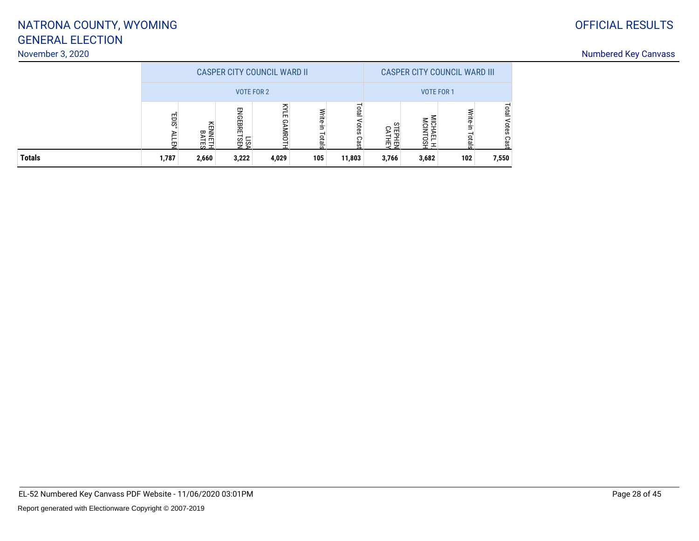Numbered Key Canvass

# GENERAL ELECTIONNATRONA COUNTY, WYOMING

### November 3, 2020

|               |       |                     |                                 | <b>CASPER CITY COUNCIL WARD II</b> |                          | <b>CASPER CITY COUNCIL WARD III</b> |                    |                     |                    |                       |
|---------------|-------|---------------------|---------------------------------|------------------------------------|--------------------------|-------------------------------------|--------------------|---------------------|--------------------|-----------------------|
|               |       |                     | VOTE FOR 2                      |                                    |                          | <b>VOTE FOR 1</b>                   |                    |                     |                    |                       |
|               | EDIS  | 쥬<br>NNE<br>ᇢ<br>교도 | 罗<br>බ<br>⊞<br>ڲ<br>LISA<br>NSI | ₹<br>m<br>໑<br>AMRO                | <b>Write</b><br>$\omega$ | isi<br>I<br>otes<br>္ၿာ<br>S        | ഗ<br>룏<br>S.<br>贡贡 | $\blacksquare$<br>0 | Write-in<br>Totals | Total<br>Votes<br>ເຂວ |
| <b>Totals</b> | 1,787 | 2,660               | 3,222                           | 4,029                              | 105                      | 11,803                              | 3,766              | 3,682               | 102                | 7,550                 |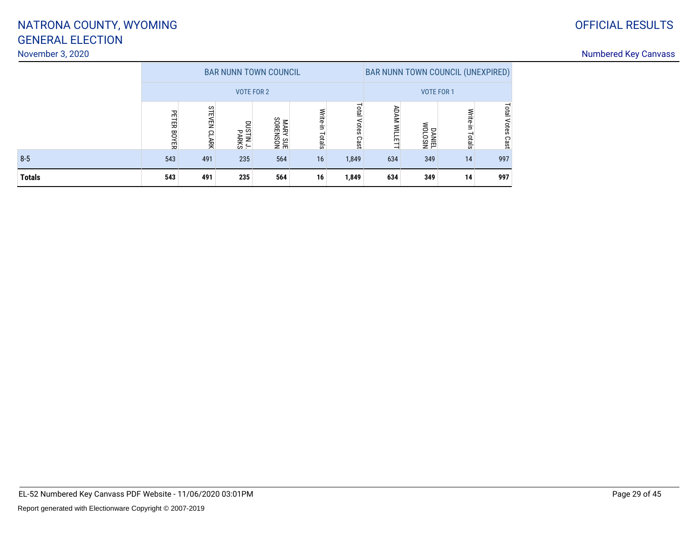# GENERAL ELECTIONNATRONA COUNTY, WYOMING

### November 3, 2020

|               |                       |                            | <b>BAR NUNN TOWN COUNCIL</b> |                      |                              |                              | <b>BAR NUNN TOWN COUNCIL (UNEXPIRED)</b> |                                                        |                    |                               |
|---------------|-----------------------|----------------------------|------------------------------|----------------------|------------------------------|------------------------------|------------------------------------------|--------------------------------------------------------|--------------------|-------------------------------|
|               |                       |                            | <b>VOTE FOR 2</b>            |                      |                              | <b>VOTE FOR 1</b>            |                                          |                                                        |                    |                               |
|               | PETER<br><b>BOYER</b> | STE<br>ŇЕN<br><b>CLARK</b> | T NILSNO                     | MARY SUE<br>SORENSON | <b>Write-</b><br>Ξ<br>Totals | <b>Total</b><br>otes<br>Cast | <b>ADAM WILLET</b>                       | $\overline{\mathsf{SO}}$<br>p<br><b>ANIEL</b><br>LOSIN | Write-in<br>Totals | <b>Total</b><br>Votes<br>Cast |
| $8 - 5$       | 543                   | 491                        | 235                          | 564                  | 16                           | 1,849                        | 634                                      | 349                                                    | 14                 | 997                           |
| <b>Totals</b> | 543                   | 491                        | 235                          | 564                  | 16                           | 1,849                        | 634                                      | 349                                                    | 14                 | 997                           |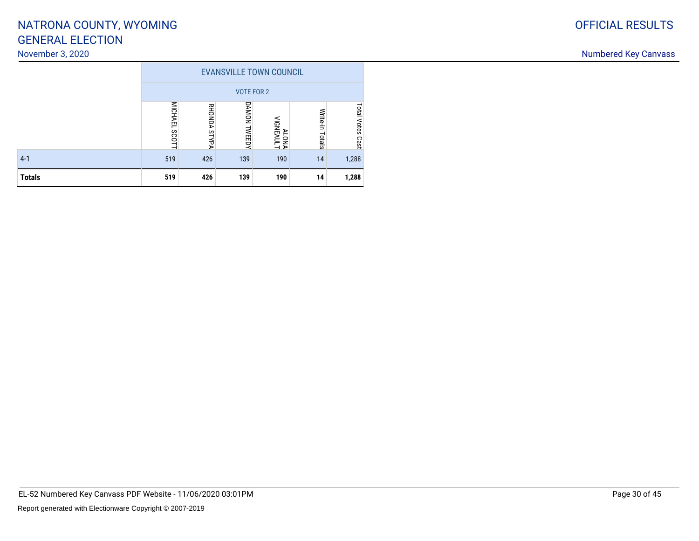### November 3, 2020

|               |                                         |                 |                        | <b>EVANSVILLE TOWN COUNCIL</b> |                    |                               |  |  |  |
|---------------|-----------------------------------------|-----------------|------------------------|--------------------------------|--------------------|-------------------------------|--|--|--|
|               |                                         |                 | <b>VOTE FOR 2</b>      |                                |                    |                               |  |  |  |
|               | <b>MICHAEL</b><br><b>SCOTT</b>          | RHONDA<br>STYPA | <b>DAMON</b><br>TWEEDY | ALONA<br>MGNEAULT              | Write-in<br>Totals | <b>Total</b><br>Votes<br>Cast |  |  |  |
| $4-1$         | 519<br>139<br>1,288<br>426<br>190<br>14 |                 |                        |                                |                    |                               |  |  |  |
| <b>Totals</b> | 519                                     | 426             | 139                    | 190                            | 14                 | 1,288                         |  |  |  |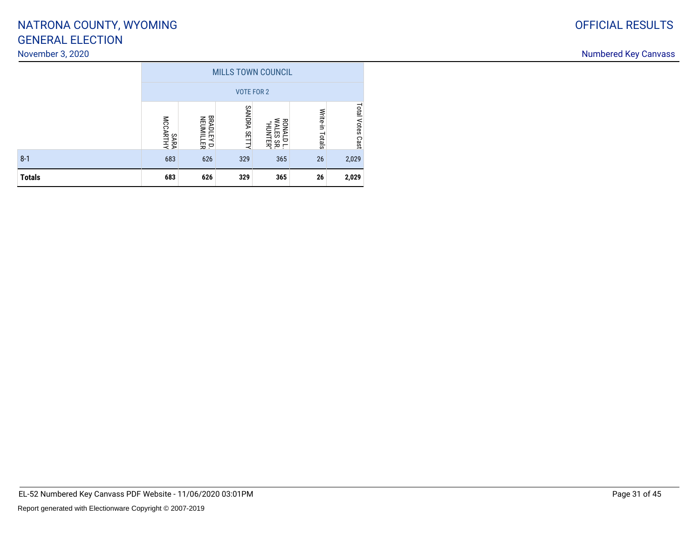SARA<br>MCCARTHY

NEUMILLER BRADLEY D.

<sup>683</sup> <sup>626</sup> <sup>329</sup> <sup>365</sup> <sup>26</sup> 2,029

**<sup>683</sup> <sup>626</sup> <sup>329</sup> <sup>365</sup> <sup>26</sup> 2,029**

SANDRA SETTY

SANDRA SETTY

WALES SR. RONALD L. "HUNTER"

Write-in Totals

Write-in Totals

### November 3, 2020

8-1

**Totals**

Total Votes Cast

**Total Votes Cast** 

| EL-52 Numbered Key Canvass PDF Website - 11/06/2020 03:01PM |
|-------------------------------------------------------------|
|                                                             |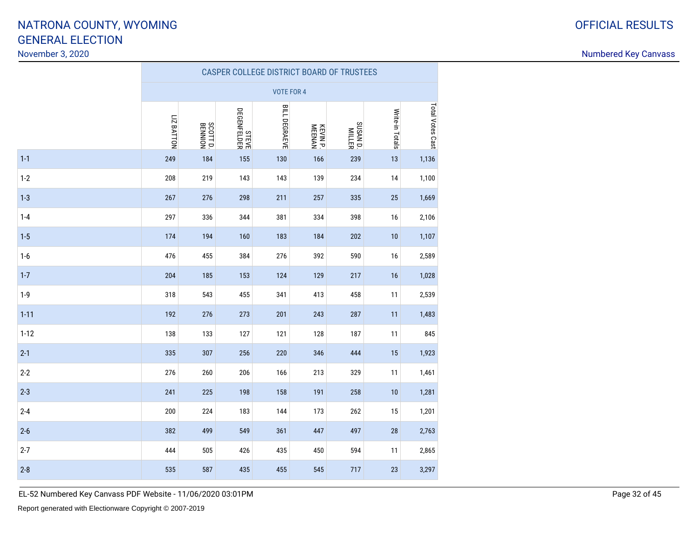November 3, 2020

Numbered Key Canvass

|          |            | <b>CAST LIV COLLEGE DISTING FOORING OF THOSTLES</b> |                             |                   |                    |                    |                 |                  |  |  |  |
|----------|------------|-----------------------------------------------------|-----------------------------|-------------------|--------------------|--------------------|-----------------|------------------|--|--|--|
|          |            |                                                     |                             | <b>VOTE FOR 4</b> |                    |                    |                 |                  |  |  |  |
|          | LIZ BATTON | SCOTT D.<br>BENNION                                 | <b>STEVE</b><br>DEGENFELDER | BILL DEGRAEVE     | KEVIN P.<br>MEENAN | SUSAN D.<br>MILLER | Write-in Totals | Total Votes Cast |  |  |  |
| $1 - 1$  | 249        | 184                                                 | 155                         | 130               | 166                | 239                | 13              | 1,136            |  |  |  |
| $1-2$    | 208        | 219                                                 | 143                         | 143               | 139                | 234                | 14              | 1,100            |  |  |  |
| $1 - 3$  | 267        | 276                                                 | 298                         | 211               | 257                | 335                | 25              | 1,669            |  |  |  |
| $1 - 4$  | 297        | 336                                                 | 344                         | 381               | 334                | 398                | 16              | 2,106            |  |  |  |
| $1 - 5$  | 174        | 194                                                 | 160                         | 183               | 184                | 202                | 10              | 1,107            |  |  |  |
| $1-6$    | 476        | 455                                                 | 384                         | 276               | 392                | 590                | 16              | 2,589            |  |  |  |
| $1 - 7$  | 204        | 185                                                 | 153                         | 124               | 129                | 217                | 16              | 1,028            |  |  |  |
| $1-9$    | 318        | 543                                                 | 455                         | 341               | 413                | 458                | 11              | 2,539            |  |  |  |
| $1 - 11$ | 192        | 276                                                 | 273                         | 201               | 243                | 287                | 11              | 1,483            |  |  |  |
| $1 - 12$ | 138        | 133                                                 | 127                         | 121               | 128                | 187                | 11              | 845              |  |  |  |
| $2 - 1$  | 335        | 307                                                 | 256                         | 220               | 346                | 444                | 15              | 1,923            |  |  |  |
| $2 - 2$  | 276        | 260                                                 | 206                         | 166               | 213                | 329                | 11              | 1,461            |  |  |  |
| $2 - 3$  | 241        | 225                                                 | 198                         | 158               | 191                | 258                | 10              | 1,281            |  |  |  |
| $2 - 4$  | 200        | 224                                                 | 183                         | 144               | 173                | 262                | 15              | 1,201            |  |  |  |
| $2 - 6$  | 382        | 499                                                 | 549                         | 361               | 447                | 497                | 28              | 2,763            |  |  |  |
| $2 - 7$  | 444        | 505                                                 | 426                         | 435               | 450                | 594                | 11              | 2,865            |  |  |  |
| $2 - 8$  | 535        | 587                                                 | 435                         | 455               | 545                | 717                | 23              | 3,297            |  |  |  |

CASPER COLLEGE DISTRICT BOARD OF TRUSTEES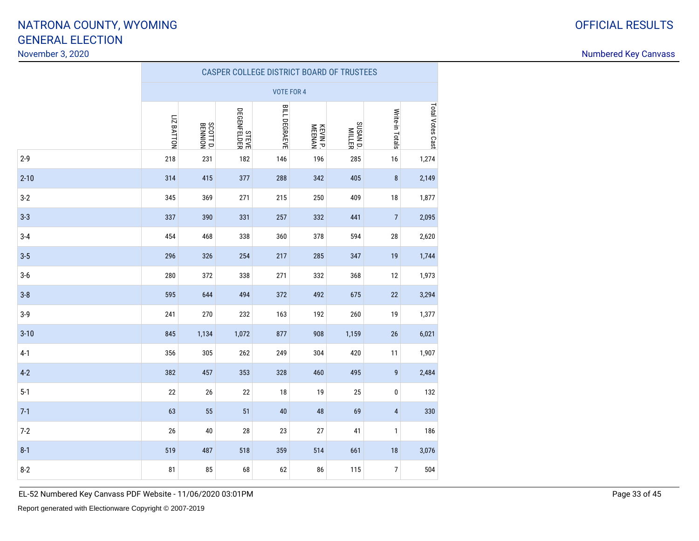November 3, 2020

Numbered Key Canvass

|          |            | <b>CASE LN COLLLOL DISTNICT DOAND OF TNOSTLLS</b> |                      |                   |                    |                    |                          |                  |  |  |  |  |
|----------|------------|---------------------------------------------------|----------------------|-------------------|--------------------|--------------------|--------------------------|------------------|--|--|--|--|
|          |            |                                                   |                      | <b>VOTE FOR 4</b> |                    |                    |                          |                  |  |  |  |  |
|          | LIZ BATTON | SCOTT D.<br>BENNION                               | STEVE<br>DEGENFELDER | BILL DEGRAEVE     | KEVIN P.<br>MEENAN | SUSAN D.<br>MILLER | Write-in Totals          | Total Votes Cast |  |  |  |  |
| $2 - 9$  | 218        | 231                                               | 182                  | 146               | 196                | 285                | 16                       | 1,274            |  |  |  |  |
| $2 - 10$ | 314        | 415                                               | 377                  | 288               | 342                | 405                | 8                        | 2,149            |  |  |  |  |
| $3-2$    | 345        | 369                                               | 271                  | 215               | 250                | 409                | 18                       | 1,877            |  |  |  |  |
| $3 - 3$  | 337        | 390                                               | 331                  | 257               | 332                | 441                | $\sqrt{7}$               | 2,095            |  |  |  |  |
| $3 - 4$  | 454        | 468                                               | 338                  | 360               | 378                | 594                | 28                       | 2,620            |  |  |  |  |
| $3-5$    | 296        | 326                                               | 254                  | 217               | 285                | 347                | 19                       | 1,744            |  |  |  |  |
| $3-6$    | 280        | 372                                               | 338                  | 271               | 332                | 368                | 12                       | 1,973            |  |  |  |  |
| $3-8$    | 595        | 644                                               | 494                  | 372               | 492                | 675                | 22                       | 3,294            |  |  |  |  |
| $3-9$    | 241        | 270                                               | 232                  | 163               | 192                | 260                | 19                       | 1,377            |  |  |  |  |
| $3 - 10$ | 845        | 1,134                                             | 1,072                | 877               | 908                | 1,159              | 26                       | 6,021            |  |  |  |  |
| $4-1$    | 356        | 305                                               | 262                  | 249               | 304                | 420                | 11                       | 1,907            |  |  |  |  |
| $4 - 2$  | 382        | 457                                               | 353                  | 328               | 460                | 495                | $\boldsymbol{9}$         | 2,484            |  |  |  |  |
| $5-1$    | 22         | 26                                                | 22                   | 18                | 19                 | 25                 | $\pmb{0}$                | 132              |  |  |  |  |
| $7-1$    | 63         | 55                                                | 51                   | 40                | 48                 | 69                 | $\overline{4}$           | 330              |  |  |  |  |
| $7 - 2$  | 26         | 40                                                | 28                   | 23                | 27                 | 41                 | $\mathbf{1}$             | 186              |  |  |  |  |
| $8 - 1$  | 519        | 487                                               | 518                  | 359               | 514                | 661                | $18$                     | 3,076            |  |  |  |  |
| $8 - 2$  | 81         | 85                                                | 68                   | 62                | 86                 | 115                | $\overline{\mathcal{I}}$ | 504              |  |  |  |  |

CASPER COLLEGE DISTRICT BOARD OF TRUSTEES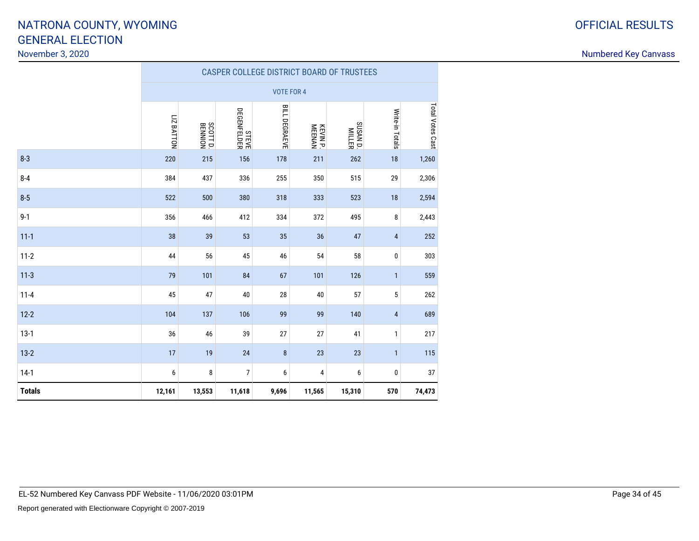November 3, 2020

|               |            |                            |                             |                   | <b>CASPER COLLEGE DISTRICT BOARD OF TRUSTEES</b> |                    |                 |                  |
|---------------|------------|----------------------------|-----------------------------|-------------------|--------------------------------------------------|--------------------|-----------------|------------------|
|               |            |                            |                             | <b>VOTE FOR 4</b> |                                                  |                    |                 |                  |
|               | LIZ BATTON | <b>SCOTT D.</b><br>BENNION | <b>STEVE</b><br>DEGENFELDER | BILL DEGRAEVE     | KEVIN P.<br>MEENAN                               | SUSAN D.<br>MILLER | Write-in Totals | Total Votes Cast |
| $8 - 3$       | 220        | 215                        | 156                         | 178               | 211                                              | 262                | 18              | 1,260            |
| $8 - 4$       | 384        | 437                        | 336                         | 255               | 350                                              | 515                | 29              | 2,306            |
| $8 - 5$       | 522        | 500                        | 380                         | 318               | 333                                              | 523                | 18              | 2,594            |
| $9 - 1$       | 356        | 466                        | 412                         | 334               | 372                                              | 495                | 8               | 2,443            |
| $11 - 1$      | 38         | 39                         | 53                          | 35                | 36                                               | 47                 | 4               | 252              |
| $11-2$        | 44         | 56                         | 45                          | 46                | 54                                               | 58                 | $\pmb{0}$       | 303              |
| $11-3$        | 79         | 101                        | 84                          | 67                | 101                                              | 126                | $\mathbf{1}$    | 559              |
| $11 - 4$      | 45         | 47                         | 40                          | 28                | 40                                               | 57                 | $\sqrt{5}$      | 262              |
| $12 - 2$      | 104        | 137                        | 106                         | 99                | 99                                               | 140                | $\sqrt{4}$      | 689              |
| $13-1$        | 36         | 46                         | 39                          | 27                | 27                                               | 41                 | $\mathbf{1}$    | 217              |
| $13-2$        | 17         | 19                         | 24                          | $\bf 8$           | 23                                               | 23                 | $\mathbf{1}$    | 115              |
| $14-1$        | 6          | 8                          | $\overline{7}$              | 6                 | 4                                                | 6                  | 0               | 37               |
| <b>Totals</b> | 12,161     | 13,553                     | 11,618                      | 9,696             | 11,565                                           | 15,310             | 570             | 74,473           |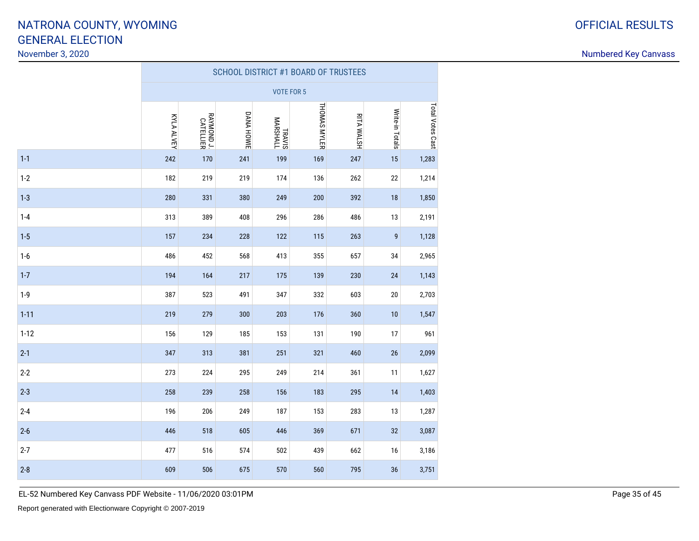November 3, 2020

Numbered Key Canvass

|          |            |                         |            |                    | <b>SCHOOL DISTRICT #1 BOARD OF TRUSTEES</b> |                   |                 |                  |
|----------|------------|-------------------------|------------|--------------------|---------------------------------------------|-------------------|-----------------|------------------|
|          |            |                         |            | VOTE FOR 5         |                                             |                   |                 |                  |
|          | KYLA ALVEY | RAYMOND J.<br>CATELLIER | DANA HOWIE | TRAVIS<br>MARSHALL | THOMAS MYLER                                | <b>RITA WALSH</b> | Write-in Totals | Total Votes Cast |
| $1 - 1$  | 242        | 170                     | 241        | 199                | 169                                         | 247               | 15              | 1,283            |
| $1 - 2$  | 182        | 219                     | 219        | 174                | 136                                         | 262               | 22              | 1,214            |
| $1 - 3$  | 280        | 331                     | 380        | 249                | 200                                         | 392               | 18              | 1,850            |
| $1 - 4$  | 313        | 389                     | 408        | 296                | 286                                         | 486               | 13              | 2,191            |
| $1-5$    | 157        | 234                     | 228        | 122                | 115                                         | 263               | 9               | 1,128            |
| $1-6$    | 486        | 452                     | 568        | 413                | 355                                         | 657               | 34              | 2,965            |
| $1 - 7$  | 194        | 164                     | 217        | 175                | 139                                         | 230               | 24              | 1,143            |
| $1-9$    | 387        | 523                     | 491        | 347                | 332                                         | 603               | $20\,$          | 2,703            |
| $1 - 11$ | 219        | 279                     | 300        | 203                | 176                                         | 360               | 10              | 1,547            |
| $1 - 12$ | 156        | 129                     | 185        | 153                | 131                                         | 190               | 17              | 961              |
| $2 - 1$  | 347        | 313                     | 381        | 251                | 321                                         | 460               | 26              | 2,099            |
| $2 - 2$  | 273        | 224                     | 295        | 249                | 214                                         | 361               | 11              | 1,627            |
| $2 - 3$  | 258        | 239                     | 258        | 156                | 183                                         | 295               | 14              | 1,403            |
| $2 - 4$  | 196        | 206                     | 249        | 187                | 153                                         | 283               | 13              | 1,287            |
| $2 - 6$  | 446        | 518                     | 605        | 446                | 369                                         | 671               | 32              | 3,087            |
| $2 - 7$  | 477        | 516                     | 574        | 502                | 439                                         | 662               | 16              | 3,186            |
| $2 - 8$  | 609        | 506                     | 675        | 570                | 560                                         | 795               | 36              | 3,751            |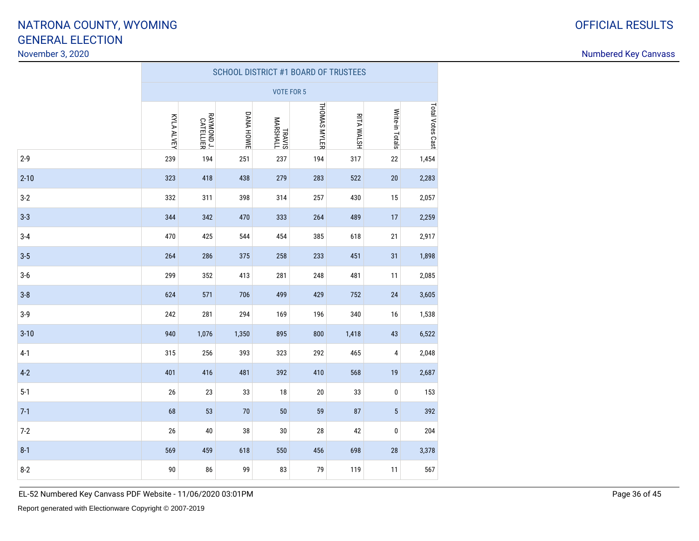November 3, 2020

Numbered Key Canvass

|          |            | <b>SCHOOL DISTRICT #1 BOARD OF TRUSTEES</b> |            |                    |              |                   |                 |                  |  |  |  |  |
|----------|------------|---------------------------------------------|------------|--------------------|--------------|-------------------|-----------------|------------------|--|--|--|--|
|          |            |                                             |            | VOTE FOR 5         |              |                   |                 |                  |  |  |  |  |
|          | KYLA ALVEY | RAYMOND J.<br>CATELLIER                     | DANA HOWIE | TRAVIS<br>MARSHALL | THOMAS MYLER | <b>RITA WALSH</b> | Write-in Totals | Total Votes Cast |  |  |  |  |
| $2 - 9$  | 239        | 194                                         | 251        | 237                | 194          | 317               | 22              | 1,454            |  |  |  |  |
| $2 - 10$ | 323        | 418                                         | 438        | 279                | 283          | 522               | 20              | 2,283            |  |  |  |  |
| $3-2$    | 332        | 311                                         | 398        | 314                | 257          | 430               | 15              | 2,057            |  |  |  |  |
| $3 - 3$  | 344        | 342                                         | 470        | 333                | 264          | 489               | 17              | 2,259            |  |  |  |  |
| $3-4$    | 470        | 425                                         | 544        | 454                | 385          | 618               | 21              | 2,917            |  |  |  |  |
| $3-5$    | 264        | 286                                         | 375        | 258                | 233          | 451               | 31              | 1,898            |  |  |  |  |
| $3-6$    | 299        | 352                                         | 413        | 281                | 248          | 481               | 11              | 2,085            |  |  |  |  |
| $3 - 8$  | 624        | 571                                         | 706        | 499                | 429          | 752               | 24              | 3,605            |  |  |  |  |
| $3-9$    | 242        | 281                                         | 294        | 169                | 196          | 340               | 16              | 1,538            |  |  |  |  |
| $3 - 10$ | 940        | 1,076                                       | 1,350      | 895                | 800          | 1,418             | 43              | 6,522            |  |  |  |  |
| $4-1$    | 315        | 256                                         | 393        | 323                | 292          | 465               | 4               | 2,048            |  |  |  |  |
| $4 - 2$  | 401        | 416                                         | 481        | 392                | 410          | 568               | 19              | 2,687            |  |  |  |  |
| $5 - 1$  | 26         | 23                                          | 33         | 18                 | $20\,$       | 33                | $\pmb{0}$       | 153              |  |  |  |  |
| $7-1$    | 68         | 53                                          | $70$       | 50                 | 59           | 87                | $\sqrt{5}$      | 392              |  |  |  |  |
| $7 - 2$  | 26         | 40                                          | 38         | 30                 | 28           | 42                | 0               | 204              |  |  |  |  |
| $8 - 1$  | 569        | 459                                         | 618        | 550                | 456          | 698               | 28              | 3,378            |  |  |  |  |
| $8 - 2$  | 90         | 86                                          | 99         | 83                 | 79           | 119               | 11              | 567              |  |  |  |  |

EL-52 Numbered Key Canvass PDF Website - 11/06/2020 03:01PM

Report generated with Electionware Copyright © 2007-2019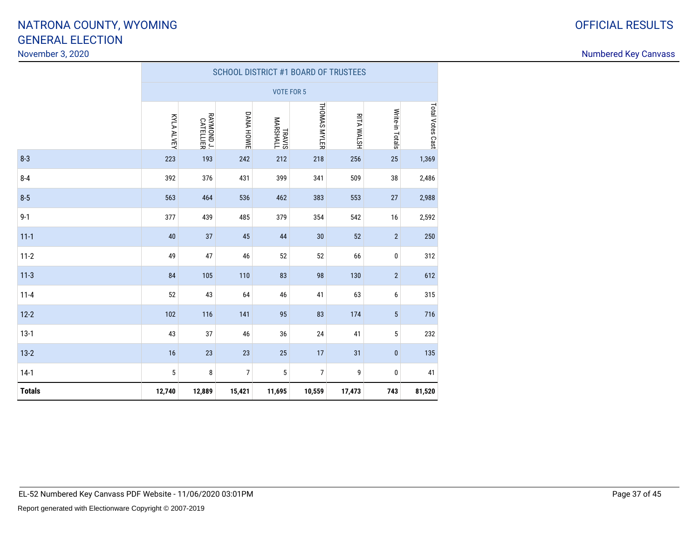November 3, 2020

|               |            | SCHOOL DISTRICT #1 BOARD OF TRUSTEES |            |                    |                |                   |                 |                  |  |  |  |
|---------------|------------|--------------------------------------|------------|--------------------|----------------|-------------------|-----------------|------------------|--|--|--|
|               |            |                                      |            | <b>VOTE FOR 5</b>  |                |                   |                 |                  |  |  |  |
|               | KYLA ALVEY | RAYMOND J.<br>CATELLIER              | DANA HOWIE | TRAVIS<br>MARSHALL | THOMAS MYLER   | <b>RITA WALSH</b> | Write-in Totals | Total Votes Cast |  |  |  |
| $8 - 3$       | 223        | 193                                  | 242        | 212                | 218            | 256               | $25\,$          | 1,369            |  |  |  |
| $8 - 4$       | 392        | 376                                  | 431        | 399                | 341            | 509               | 38              | 2,486            |  |  |  |
| $8 - 5$       | 563        | 464                                  | 536        | 462                | 383            | 553               | 27              | 2,988            |  |  |  |
| $9 - 1$       | 377        | 439                                  | 485        | 379                | 354            | 542               | 16              | 2,592            |  |  |  |
| $11 - 1$      | 40         | 37                                   | 45         | 44                 | $30\,$         | 52                | $\overline{2}$  | 250              |  |  |  |
| $11-2$        | 49         | 47                                   | 46         | 52                 | 52             | 66                | 0               | 312              |  |  |  |
| $11-3$        | 84         | 105                                  | 110        | 83                 | 98             | 130               | $\sqrt{2}$      | 612              |  |  |  |
| $11 - 4$      | 52         | 43                                   | 64         | 46                 | 41             | 63                | 6               | 315              |  |  |  |
| $12 - 2$      | 102        | 116                                  | 141        | 95                 | 83             | 174               | $\sqrt{5}$      | 716              |  |  |  |
| $13-1$        | 43         | 37                                   | 46         | 36                 | 24             | 41                | 5               | 232              |  |  |  |
| $13-2$        | 16         | 23                                   | 23         | 25                 | 17             | 31                | $\pmb{0}$       | 135              |  |  |  |
| $14-1$        | $\sqrt{5}$ | 8                                    | 7          | 5                  | $\overline{7}$ | 9                 | 0               | 41               |  |  |  |
| <b>Totals</b> | 12,740     | 12,889                               | 15,421     | 11,695             | 10,559         | 17,473            | 743             | 81,520           |  |  |  |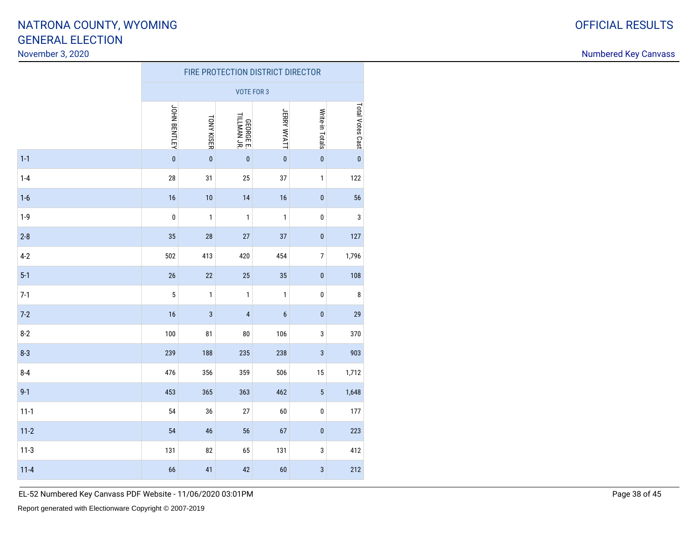November 3, 2020

|          | FIRE PROTECTION DISTRICT DIRECTOR<br><b>VOTE FOR 3</b><br>JOHN BENTLEY<br>Write-in Totals<br><b>JERRY WYATT</b><br><b>GEORGE E.</b><br>TILLMAN JR.<br><b>TONY KISER</b><br>$\pmb{0}$<br>$\mathbf{0}$<br>$\pmb{0}$<br>$\pmb{0}$<br>$\pmb{0}$<br>28<br>31<br>25<br>37<br>$\mathbf{1}$<br>16<br>10<br>14<br>16<br>$\pmb{0}$<br>$\pmb{0}$<br>$\pmb{0}$<br>1<br>$\mathbf{1}$<br>$\mathbf{1}$<br>35<br>28<br>27<br>37<br>$\pmb{0}$<br>502<br>413<br>420<br>454<br>$\boldsymbol{7}$ |     |                |             |                |                  |  |  |
|----------|------------------------------------------------------------------------------------------------------------------------------------------------------------------------------------------------------------------------------------------------------------------------------------------------------------------------------------------------------------------------------------------------------------------------------------------------------------------------------|-----|----------------|-------------|----------------|------------------|--|--|
|          |                                                                                                                                                                                                                                                                                                                                                                                                                                                                              |     |                |             |                | Total Votes Cast |  |  |
| $1 - 1$  |                                                                                                                                                                                                                                                                                                                                                                                                                                                                              |     |                |             |                | $\mathbf{0}$     |  |  |
| $1 - 4$  |                                                                                                                                                                                                                                                                                                                                                                                                                                                                              |     |                |             |                | 122              |  |  |
| $1-6$    |                                                                                                                                                                                                                                                                                                                                                                                                                                                                              |     |                |             |                | 56               |  |  |
| $1 - 9$  |                                                                                                                                                                                                                                                                                                                                                                                                                                                                              |     |                |             |                | 3                |  |  |
| $2 - 8$  |                                                                                                                                                                                                                                                                                                                                                                                                                                                                              |     |                |             |                | 127              |  |  |
| $4-2$    |                                                                                                                                                                                                                                                                                                                                                                                                                                                                              |     |                |             |                | 1,796            |  |  |
| $5-1$    | 26                                                                                                                                                                                                                                                                                                                                                                                                                                                                           | 22  | 25             | 35          | $\pmb{0}$      | 108              |  |  |
| $7-1$    | $\overline{5}$                                                                                                                                                                                                                                                                                                                                                                                                                                                               | 1   | 1              | $\mathbf 1$ | $\pmb{0}$      | $\bf 8$          |  |  |
| $7-2$    | 16                                                                                                                                                                                                                                                                                                                                                                                                                                                                           | 3   | $\overline{4}$ | 6           | $\pmb{0}$      | 29               |  |  |
| $8 - 2$  | 100                                                                                                                                                                                                                                                                                                                                                                                                                                                                          | 81  | ${\bf 80}$     | 106         | 3              | 370              |  |  |
| $8 - 3$  | 239                                                                                                                                                                                                                                                                                                                                                                                                                                                                          | 188 | 235            | 238         | $\sqrt{3}$     | 903              |  |  |
| $8 - 4$  | 476                                                                                                                                                                                                                                                                                                                                                                                                                                                                          | 356 | 359            | 506         | 15             | 1,712            |  |  |
| $9 - 1$  | 453                                                                                                                                                                                                                                                                                                                                                                                                                                                                          | 365 | 363            | 462         | $\overline{5}$ | 1,648            |  |  |
| $11-1$   | 54                                                                                                                                                                                                                                                                                                                                                                                                                                                                           | 36  | 27             | 60          | $\pmb{0}$      | 177              |  |  |
| $11-2$   | 54                                                                                                                                                                                                                                                                                                                                                                                                                                                                           | 46  | 56             | 67          | $\pmb{0}$      | 223              |  |  |
| $11-3$   | 131                                                                                                                                                                                                                                                                                                                                                                                                                                                                          | 82  | 65             | 131         | 3              | 412              |  |  |
| $11 - 4$ | 66                                                                                                                                                                                                                                                                                                                                                                                                                                                                           | 41  | 42             | 60          | 3              | 212              |  |  |

EL-52 Numbered Key Canvass PDF Website - 11/06/2020 03:01PM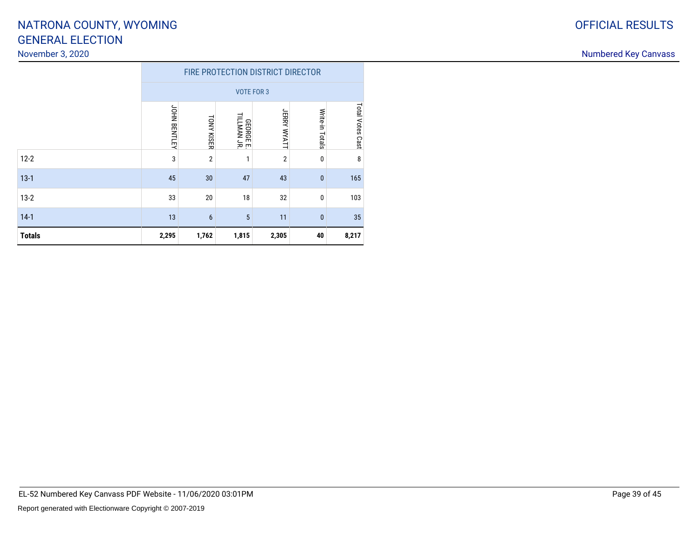November 3, 2020

12-2

13-1

13-2

14-1

**Totals**

| vember 3, 2020 |                            |                                   |                                |                   |                    |                             |  |  |  |  |
|----------------|----------------------------|-----------------------------------|--------------------------------|-------------------|--------------------|-----------------------------|--|--|--|--|
|                |                            | FIRE PROTECTION DISTRICT DIRECTOR |                                |                   |                    |                             |  |  |  |  |
|                |                            |                                   |                                | <b>VOTE FOR 3</b> |                    |                             |  |  |  |  |
|                | 호<br>국<br><b>BENT</b><br>冨 | <b>TONY</b><br><b>KISER</b>       | <b>GEORGE E.</b><br>ILLMAN JR. | 贾                 | Write-in<br>Totals | <b>Lota</b><br>otes<br>Cast |  |  |  |  |
| 2              | 3                          |                                   |                                |                   |                    | n                           |  |  |  |  |

<sup>45</sup> <sup>30</sup> <sup>47</sup> <sup>43</sup> <sup>0</sup> <sup>165</sup>

 $\begin{array}{ccccccc} 2 & 33 & 33 & 20 & 18 & 32 & 0 & 103 \end{array}$ 

1 and 13 and 13 and 13 and 13 and 13 and 13 and 13 and 13 and 13 and 13 and 13 and 13 and 13 and 13 and 13 and 13 and 13 and 13 and 13 and 13 and 13 and 13 and 13 and 13 and 13 and 13 and 13 and 13 and 13 and 13 and 13 an

**2,295 1,762 1,815 2,305 <sup>40</sup> 8,217**

### OFFICIAL RESULTS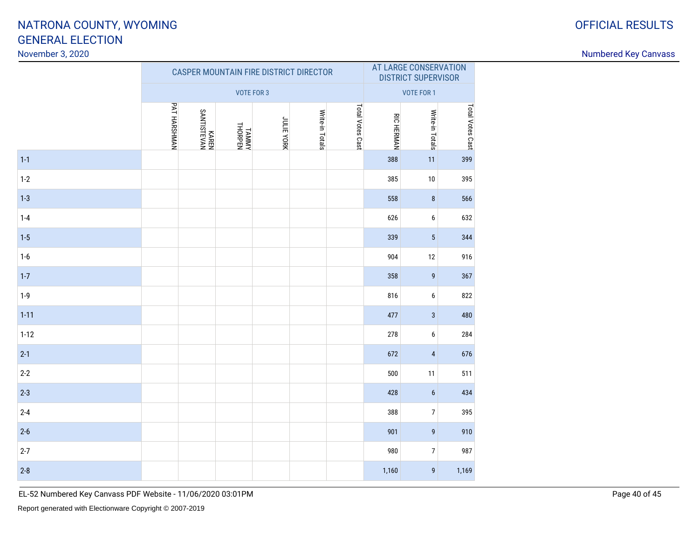# GENERAL ELECTIONNATRONA COUNTY, WYOMING

November 3, 2020

|          |              |                      |                  |            | <b>CASPER MOUNTAIN FIRE DISTRICT DIRECTOR</b> |                   | AT LARGE CONSERVATION<br><b>DISTRICT SUPERVISOR</b> |                  |                  |  |
|----------|--------------|----------------------|------------------|------------|-----------------------------------------------|-------------------|-----------------------------------------------------|------------------|------------------|--|
|          |              |                      | VOTE FOR 3       |            |                                               | <b>VOTE FOR 1</b> |                                                     |                  |                  |  |
|          | PAT HARSHMAN | KAREN<br>SANTISTEVAN | TAMMY<br>THORPEN | JULIE YORK | Write-in Totals                               | Total Votes Cast  | <b>RIC HERMAN</b>                                   | Write-in Totals  | Total Votes Cast |  |
| $1 - 1$  |              |                      |                  |            |                                               |                   | 388                                                 | 11               | 399              |  |
| $1-2$    |              |                      |                  |            |                                               |                   | 385                                                 | $10\,$           | 395              |  |
| $1 - 3$  |              |                      |                  |            |                                               |                   | 558                                                 | $\bf 8$          | 566              |  |
| $1-4$    |              |                      |                  |            |                                               |                   | 626                                                 | 6                | 632              |  |
| $1-5$    |              |                      |                  |            |                                               |                   | 339                                                 | $5\phantom{.0}$  | 344              |  |
| $1-6$    |              |                      |                  |            |                                               |                   | 904                                                 | 12               | 916              |  |
| $1 - 7$  |              |                      |                  |            |                                               |                   | 358                                                 | 9                | 367              |  |
| $1-9$    |              |                      |                  |            |                                               |                   | 816                                                 | 6                | 822              |  |
| $1 - 11$ |              |                      |                  |            |                                               |                   | 477                                                 | $\sqrt{3}$       | 480              |  |
| $1 - 12$ |              |                      |                  |            |                                               |                   | 278                                                 | 6                | 284              |  |
| $2 - 1$  |              |                      |                  |            |                                               |                   | 672                                                 | $\sqrt{4}$       | 676              |  |
| $2-2$    |              |                      |                  |            |                                               |                   | 500                                                 | 11               | 511              |  |
| $2 - 3$  |              |                      |                  |            |                                               |                   | 428                                                 | 6                | 434              |  |
| $2 - 4$  |              |                      |                  |            |                                               |                   | 388                                                 | $\boldsymbol{7}$ | 395              |  |
| $2 - 6$  |              |                      |                  |            |                                               |                   | 901                                                 | 9                | 910              |  |
| $2 - 7$  |              |                      |                  |            |                                               |                   | 980                                                 | $\overline{7}$   | 987              |  |
| $2 - 8$  |              |                      |                  |            |                                               |                   | 1,160                                               | $\overline{9}$   | 1,169            |  |
|          |              |                      |                  |            |                                               |                   |                                                     |                  |                  |  |

Numbered Key Canvass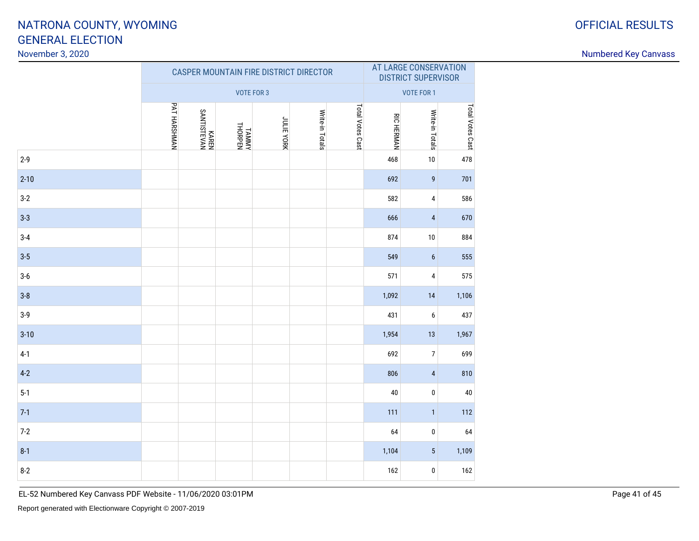# GENERAL ELECTIONNATRONA COUNTY, WYOMING

November 3, 2020

|          | <b>CASPER MOUNTAIN FIRE DISTRICT DIRECTOR</b> |                      |                   |            |                 |                  |                   | AT LARGE CONSERVATION<br><b>DISTRICT SUPERVISOR</b> |                  |  |  |
|----------|-----------------------------------------------|----------------------|-------------------|------------|-----------------|------------------|-------------------|-----------------------------------------------------|------------------|--|--|
|          |                                               |                      | <b>VOTE FOR 3</b> |            |                 |                  | <b>VOTE FOR 1</b> |                                                     |                  |  |  |
|          | PAT HARSHMAN                                  | KAREN<br>SANTISTEVAN | TAMMY<br>THORPEN  | JULIE YORK | Write-in Totals | Total Votes Cast | <b>RIC HERMAN</b> | Write-in Totals                                     | Total Votes Cast |  |  |
| $2-9$    |                                               |                      |                   |            |                 |                  | 468               | $10\,$                                              | 478              |  |  |
| $2 - 10$ |                                               |                      |                   |            |                 |                  | 692               | $\boldsymbol{9}$                                    | 701              |  |  |
| $3-2$    |                                               |                      |                   |            |                 |                  | 582               | $\overline{4}$                                      | 586              |  |  |
| $3 - 3$  |                                               |                      |                   |            |                 |                  | 666               | $\overline{4}$                                      | 670              |  |  |
| $3 - 4$  |                                               |                      |                   |            |                 |                  | 874               | $10\,$                                              | 884              |  |  |
| $3-5$    |                                               |                      |                   |            |                 |                  | 549               | $\boldsymbol{6}$                                    | 555              |  |  |
| $3-6$    |                                               |                      |                   |            |                 |                  | 571               | 4                                                   | 575              |  |  |
| $3-8$    |                                               |                      |                   |            |                 |                  | 1,092             | 14                                                  | 1,106            |  |  |
| $3-9$    |                                               |                      |                   |            |                 |                  | 431               | 6                                                   | 437              |  |  |
| $3 - 10$ |                                               |                      |                   |            |                 |                  | 1,954             | 13                                                  | 1,967            |  |  |
| $4-1$    |                                               |                      |                   |            |                 |                  | 692               | $\overline{7}$                                      | 699              |  |  |
| $4-2$    |                                               |                      |                   |            |                 |                  | 806               | $\sqrt{4}$                                          | 810              |  |  |
| $5-1$    |                                               |                      |                   |            |                 |                  | 40                | $\pmb{0}$                                           | $40\,$           |  |  |
| $7-1$    |                                               |                      |                   |            |                 |                  | 111               | $\mathbf{1}$                                        | 112              |  |  |
| $7 - 2$  |                                               |                      |                   |            |                 |                  | 64                | $\pmb{0}$                                           | 64               |  |  |
| $8-1$    |                                               |                      |                   |            |                 |                  | 1,104             | $\sqrt{5}$                                          | 1,109            |  |  |
| $8-2$    |                                               |                      |                   |            |                 |                  | 162               | $\pmb{0}$                                           | 162              |  |  |
|          |                                               |                      |                   |            |                 |                  |                   |                                                     |                  |  |  |

AT LARGE CONSERVATION

EL-52 Numbered Key Canvass PDF Website - 11/06/2020 03:01PM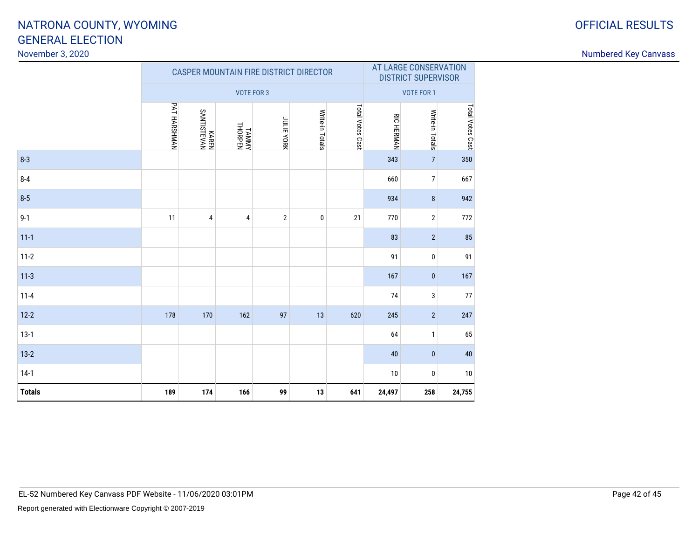# GENERAL ELECTIONNATRONA COUNTY, WYOMING

November 3, 2020

|               | <b>CASPER MOUNTAIN FIRE DISTRICT DIRECTOR</b> |                      |                             |                   |                 |                  |                   | AT LARGE CONSERVATION<br><b>DISTRICT SUPERVISOR</b> |                  |  |  |
|---------------|-----------------------------------------------|----------------------|-----------------------------|-------------------|-----------------|------------------|-------------------|-----------------------------------------------------|------------------|--|--|
|               |                                               |                      | VOTE FOR 3                  |                   |                 |                  |                   | <b>VOTE FOR 1</b>                                   |                  |  |  |
|               | PAT HARSHMAN                                  | KAREN<br>SANTISTEVAN | TAMMY <sup>I</sup><br>YMMAT | <b>JULIE YORK</b> | Write-in Totals | Total Votes Cast | <b>RIC HERMAN</b> | Write-in Totals                                     | Total Votes Cast |  |  |
| $8 - 3$       |                                               |                      |                             |                   |                 |                  | 343               | $\overline{7}$                                      | 350              |  |  |
| $8 - 4$       |                                               |                      |                             |                   |                 |                  | 660               | $\boldsymbol{7}$                                    | 667              |  |  |
| $8 - 5$       |                                               |                      |                             |                   |                 |                  | 934               | 8                                                   | 942              |  |  |
| $9 - 1$       | 11                                            | 4                    | $\overline{4}$              | $\mathbf 2$       | $\pmb{0}$       | 21               | 770               | $\overline{2}$                                      | 772              |  |  |
| $11 - 1$      |                                               |                      |                             |                   |                 |                  | 83                | $\overline{2}$                                      | 85               |  |  |
| $11-2$        |                                               |                      |                             |                   |                 |                  | 91                | 0                                                   | 91               |  |  |
| $11-3$        |                                               |                      |                             |                   |                 |                  | 167               | $\pmb{0}$                                           | 167              |  |  |
| $11 - 4$      |                                               |                      |                             |                   |                 |                  | 74                | 3                                                   | 77               |  |  |
| $12 - 2$      | 178                                           | 170                  | 162                         | 97                | 13              | 620              | 245               | $\overline{2}$                                      | 247              |  |  |
| $13-1$        |                                               |                      |                             |                   |                 |                  | 64                | $\mathbf{1}$                                        | 65               |  |  |
| $13-2$        |                                               |                      |                             |                   |                 |                  | 40                | $\bf{0}$                                            | 40               |  |  |
| $14-1$        |                                               |                      |                             |                   |                 |                  | 10                | 0                                                   | 10               |  |  |
| <b>Totals</b> | 189                                           | 174                  | 166                         | 99                | 13              | 641              | 24,497            | 258                                                 | 24,755           |  |  |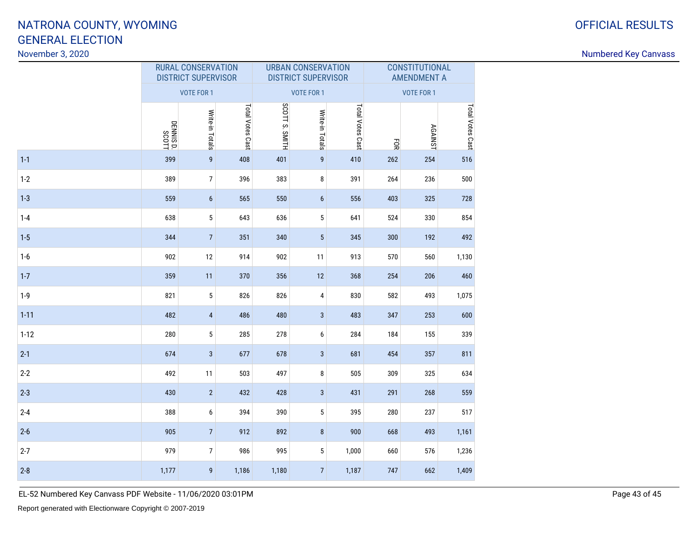#### November 3, 2020

Numbered Key Canvass

|          |                    | <b>RURAL CONSERVATION</b><br><b>DISTRICT SUPERVISOR</b> |                  |                | <b>URBAN CONSERVATION</b><br><b>DISTRICT SUPERVISOR</b> |                  |     |                   | <b>CONSTITUTIONAL</b><br><b>AMENDMENT A</b> |  |
|----------|--------------------|---------------------------------------------------------|------------------|----------------|---------------------------------------------------------|------------------|-----|-------------------|---------------------------------------------|--|
|          |                    | <b>VOTE FOR 1</b>                                       |                  |                | <b>VOTE FOR 1</b>                                       |                  |     | <b>VOTE FOR 1</b> |                                             |  |
|          | DENNIS D.<br>SCOTT | Write-in Totals                                         | Total Votes Cast | SCOTT S. SMITH | Write-in Totals                                         | Total Votes Cast | EОК | <b>AGAINST</b>    | Total Votes Cast                            |  |
| $1 - 1$  | 399                | $\boldsymbol{9}$                                        | 408              | 401            | $\boldsymbol{9}$                                        | 410              | 262 | 254               | 516                                         |  |
| $1 - 2$  | 389                | $\overline{7}$                                          | 396              | 383            | 8                                                       | 391              | 264 | 236               | 500                                         |  |
| $1 - 3$  | 559                | $\boldsymbol{6}$                                        | 565              | 550            | $\boldsymbol{6}$                                        | 556              | 403 | 325               | 728                                         |  |
| $1 - 4$  | 638                | 5                                                       | 643              | 636            | 5                                                       | 641              | 524 | 330               | 854                                         |  |
| $1 - 5$  | 344                | $7\overline{ }$                                         | 351              | 340            | $5\,$                                                   | 345              | 300 | 192               | 492                                         |  |
| $1-6$    | 902                | 12                                                      | 914              | 902            | 11                                                      | 913              | 570 | 560               | 1,130                                       |  |
| $1 - 7$  | 359                | 11                                                      | 370              | 356            | 12                                                      | 368              | 254 | 206               | 460                                         |  |
| $1 - 9$  | 821                | $\sqrt{5}$                                              | 826              | 826            | $\pmb{4}$                                               | 830              | 582 | 493               | 1,075                                       |  |
| $1 - 11$ | 482                | 4                                                       | 486              | 480            | $\mathbf{3}$                                            | 483              | 347 | 253               | 600                                         |  |
| $1 - 12$ | 280                | 5                                                       | 285              | 278            | 6                                                       | 284              | 184 | 155               | 339                                         |  |
| $2 - 1$  | 674                | $\mathbf{3}$                                            | 677              | 678            | $\mathbf{3}$                                            | 681              | 454 | 357               | 811                                         |  |
| $2 - 2$  | 492                | 11                                                      | 503              | 497            | 8                                                       | 505              | 309 | 325               | 634                                         |  |
| $2 - 3$  | 430                | $\overline{2}$                                          | 432              | 428            | $\sqrt{3}$                                              | 431              | 291 | 268               | 559                                         |  |
| $2 - 4$  | 388                | 6                                                       | 394              | 390            | $\mathbf 5$                                             | 395              | 280 | 237               | 517                                         |  |
| $2 - 6$  | 905                | $\overline{7}$                                          | 912              | 892            | $\bf 8$                                                 | 900              | 668 | 493               | 1,161                                       |  |
| $2 - 7$  | 979                | $\overline{7}$                                          | 986              | 995            | 5                                                       | 1,000            | 660 | 576               | 1,236                                       |  |
| $2 - 8$  | 1,177              | 9                                                       | 1,186            | 1,180          | $\overline{7}$                                          | 1,187            | 747 | 662               | 1,409                                       |  |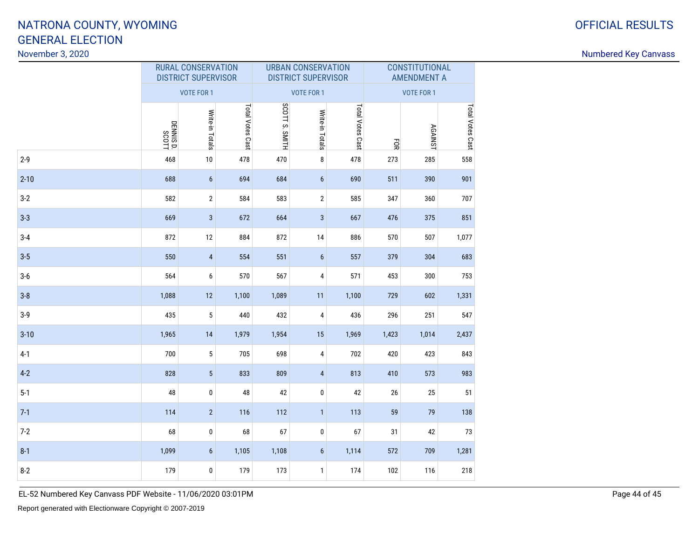### November 3, 2020

| <b>OFFICIAL RESULTS</b> |
|-------------------------|
|                         |

Numbered Key Canvass

|          |                    | <b>RURAL CONSERVATION</b><br><b>DISTRICT SUPERVISOR</b> |                  |                   | <b>URBAN CONSERVATION</b><br><b>DISTRICT SUPERVISOR</b> |                  | <b>CONSTITUTIONAL</b><br><b>AMENDMENT A</b> |                |                  |  |
|----------|--------------------|---------------------------------------------------------|------------------|-------------------|---------------------------------------------------------|------------------|---------------------------------------------|----------------|------------------|--|
|          | <b>VOTE FOR 1</b>  |                                                         |                  | <b>VOTE FOR 1</b> |                                                         |                  | <b>VOTE FOR 1</b>                           |                |                  |  |
|          | DENNIS D.<br>SCOTT | Write-in Totals                                         | Total Votes Cast | SCOTT S. SMITH    | Write-in Totals                                         | Total Votes Cast | EОК                                         | <b>AGAINST</b> | Total Votes Cast |  |
| $2 - 9$  | 468                | $10\,$                                                  | 478              | 470               | 8                                                       | 478              | 273                                         | 285            | 558              |  |
| $2 - 10$ | 688                | $\boldsymbol{6}$                                        | 694              | 684               | $\boldsymbol{6}$                                        | 690              | 511                                         | 390            | 901              |  |
| $3-2$    | 582                | $\sqrt{2}$                                              | 584              | 583               | $\mathbf{2}$                                            | 585              | 347                                         | 360            | 707              |  |
| $3 - 3$  | 669                | 3                                                       | 672              | 664               | $\mathbf{3}$                                            | 667              | 476                                         | 375            | 851              |  |
| $3-4$    | 872                | 12                                                      | 884              | 872               | 14                                                      | 886              | 570                                         | 507            | 1,077            |  |
| $3-5$    | 550                | $\pmb{4}$                                               | 554              | 551               | $\boldsymbol{6}$                                        | 557              | 379                                         | 304            | 683              |  |
| $3-6$    | 564                | 6                                                       | 570              | 567               | 4                                                       | 571              | 453                                         | 300            | 753              |  |
| $3 - 8$  | 1,088              | 12                                                      | 1,100            | 1,089             | 11                                                      | 1,100            | 729                                         | 602            | 1,331            |  |
| $3-9$    | 435                | $\sqrt{5}$                                              | 440              | 432               | $\sqrt{4}$                                              | 436              | 296                                         | 251            | 547              |  |
| $3 - 10$ | 1,965              | 14                                                      | 1,979            | 1,954             | 15                                                      | 1,969            | 1,423                                       | 1,014          | 2,437            |  |
| $4-1$    | 700                | $\sqrt{5}$                                              | 705              | 698               | $\overline{\mathbf{4}}$                                 | 702              | 420                                         | 423            | 843              |  |
| $4-2$    | 828                | $\sqrt{5}$                                              | 833              | 809               | $\pmb{4}$                                               | 813              | 410                                         | 573            | 983              |  |
| $5-1$    | 48                 | 0                                                       | 48               | 42                | $\pmb{0}$                                               | 42               | 26                                          | 25             | 51               |  |
| $7-1$    | 114                | $\overline{2}$                                          | 116              | 112               | $\overline{1}$                                          | 113              | 59                                          | 79             | 138              |  |
| $7-2$    | 68                 | $\pmb{0}$                                               | 68               | 67                | $\pmb{0}$                                               | 67               | 31                                          | 42             | $73\,$           |  |
| $8 - 1$  | 1,099              | $\boldsymbol{6}$                                        | 1,105            | 1,108             | 6                                                       | 1,114            | 572                                         | 709            | 1,281            |  |
| $8 - 2$  | 179                | 0                                                       | 179              | 173               | $\mathbf{1}$                                            | 174              | 102                                         | 116            | 218              |  |